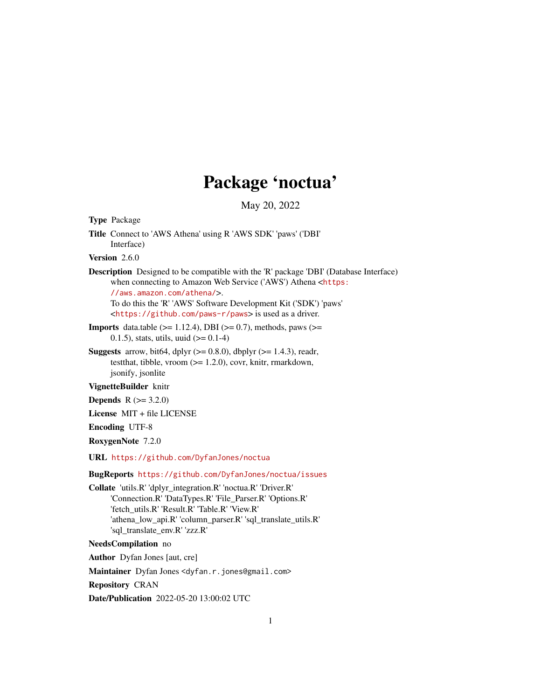## Package 'noctua'

May 20, 2022

<span id="page-0-0"></span>Type Package

Title Connect to 'AWS Athena' using R 'AWS SDK' 'paws' ('DBI' Interface)

Version 2.6.0

Description Designed to be compatible with the 'R' package 'DBI' (Database Interface) when connecting to Amazon Web Service ('AWS') Athena <[https:](https://aws.amazon.com/athena/) [//aws.amazon.com/athena/](https://aws.amazon.com/athena/)>. To do this the 'R' 'AWS' Software Development Kit ('SDK') 'paws'

<<https://github.com/paws-r/paws>> is used as a driver.

- **Imports** data.table  $(>= 1.12.4)$ , DBI  $(>= 0.7)$ , methods, paws  $(>= 1.12.4)$ 0.1.5), stats, utils, uuid  $(>= 0.1-4)$
- **Suggests** arrow, bit64, dplyr  $(>= 0.8.0)$ , dbplyr  $(>= 1.4.3)$ , readr, testthat, tibble, vroom (>= 1.2.0), covr, knitr, rmarkdown, jsonify, jsonlite

VignetteBuilder knitr

**Depends**  $R (= 3.2.0)$ 

License MIT + file LICENSE

Encoding UTF-8

RoxygenNote 7.2.0

URL <https://github.com/DyfanJones/noctua>

BugReports <https://github.com/DyfanJones/noctua/issues>

Collate 'utils.R' 'dplyr\_integration.R' 'noctua.R' 'Driver.R' 'Connection.R' 'DataTypes.R' 'File\_Parser.R' 'Options.R' 'fetch\_utils.R' 'Result.R' 'Table.R' 'View.R' 'athena\_low\_api.R' 'column\_parser.R' 'sql\_translate\_utils.R' 'sql\_translate\_env.R' 'zzz.R'

## NeedsCompilation no

Author Dyfan Jones [aut, cre]

Maintainer Dyfan Jones <dyfan.r.jones@gmail.com>

Repository CRAN

Date/Publication 2022-05-20 13:00:02 UTC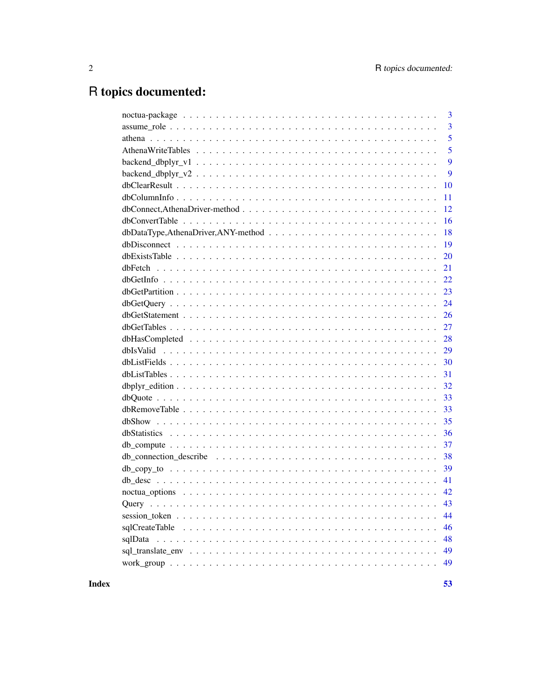## R topics documented:

|        | 3              |
|--------|----------------|
|        | $\overline{3}$ |
|        | 5              |
|        | 5              |
|        | 9              |
|        | 9              |
|        | 10             |
|        | 11             |
|        | 12             |
|        | 16             |
|        | 18             |
|        | 19             |
|        | 20             |
|        | 21             |
|        | 22             |
|        | 23             |
|        | 24             |
|        | 26             |
|        | 27             |
|        | 28             |
|        | 29             |
|        | 30             |
|        | 31             |
|        | 32             |
|        | 33             |
|        | 33             |
|        | 35             |
|        | 36             |
|        | 37             |
|        | 38             |
|        | 39             |
|        | 41             |
|        | 42             |
| Ouerv. | 43             |
|        | 44             |
|        | 46             |
|        | 48             |
|        | 49             |
|        | 49             |
|        |                |

**Index**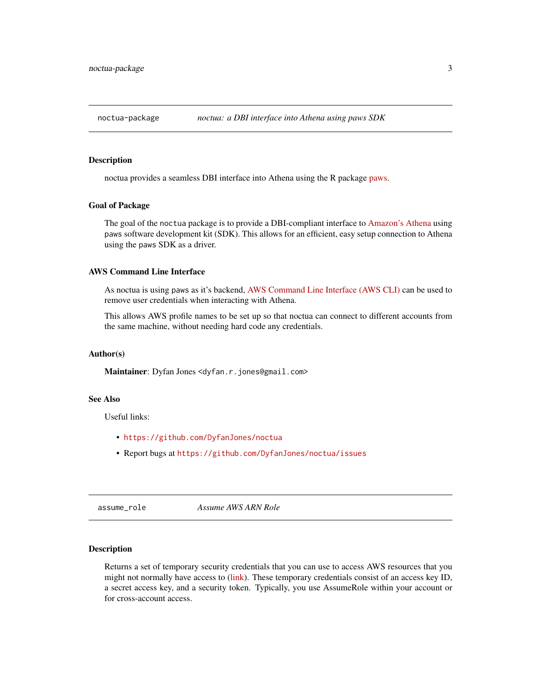<span id="page-2-0"></span>

## Description

noctua provides a seamless DBI interface into Athena using the R package [paws.](https://github.com/paws-r/paws)

#### Goal of Package

The goal of the noctua package is to provide a DBI-compliant interface to [Amazon's Athena](https://aws.amazon.com/athena/) using paws software development kit (SDK). This allows for an efficient, easy setup connection to Athena using the paws SDK as a driver.

## AWS Command Line Interface

As noctua is using paws as it's backend, [AWS Command Line Interface \(AWS CLI\)](https://aws.amazon.com/cli/) can be used to remove user credentials when interacting with Athena.

This allows AWS profile names to be set up so that noctua can connect to different accounts from the same machine, without needing hard code any credentials.

#### Author(s)

Maintainer: Dyfan Jones <dyfan.r.jones@gmail.com>

## See Also

Useful links:

- <https://github.com/DyfanJones/noctua>
- Report bugs at <https://github.com/DyfanJones/noctua/issues>

assume\_role *Assume AWS ARN Role*

## Description

Returns a set of temporary security credentials that you can use to access AWS resources that you might not normally have access to [\(link\)](https://paws-r.github.io/docs/sts/assume_role.html). These temporary credentials consist of an access key ID, a secret access key, and a security token. Typically, you use AssumeRole within your account or for cross-account access.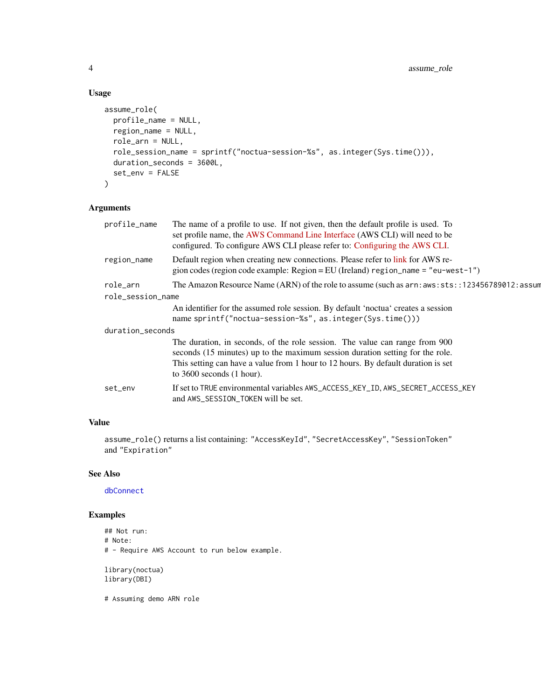## Usage

```
assume_role(
 profile_name = NULL,
 region_name = NULL,
 role_arn = NULL,
 role_session_name = sprintf("noctua-session-%s", as.integer(Sys.time())),
 duration_seconds = 3600L,
 set_env = FALSE
)
```
## Arguments

| profile_name      | The name of a profile to use. If not given, then the default profile is used. To<br>set profile name, the AWS Command Line Interface (AWS CLI) will need to be<br>configured. To configure AWS CLI please refer to: Configuring the AWS CLI.                                       |
|-------------------|------------------------------------------------------------------------------------------------------------------------------------------------------------------------------------------------------------------------------------------------------------------------------------|
| region_name       | Default region when creating new connections. Please refer to link for AWS re-<br>gion codes (region code example: Region = EU (Ireland) region_name = "eu-west-1")                                                                                                                |
| role_arn          | The Amazon Resource Name (ARN) of the role to assume (such as $arn:aws:sts::123456789012:assum$                                                                                                                                                                                    |
| role_session_name |                                                                                                                                                                                                                                                                                    |
|                   | An identifier for the assumed role session. By default 'noctua' creates a session<br>name sprintf("noctua-session-%s", as.integer(Sys.time()))                                                                                                                                     |
| duration_seconds  |                                                                                                                                                                                                                                                                                    |
|                   | The duration, in seconds, of the role session. The value can range from 900<br>seconds (15 minutes) up to the maximum session duration setting for the role.<br>This setting can have a value from 1 hour to 12 hours. By default duration is set<br>to $3600$ seconds $(1$ hour). |
| set_env           | If set to TRUE environmental variables AWS_ACCESS_KEY_ID, AWS_SECRET_ACCESS_KEY<br>and AWS_SESSION_TOKEN will be set.                                                                                                                                                              |
|                   |                                                                                                                                                                                                                                                                                    |

## Value

assume\_role() returns a list containing: "AccessKeyId", "SecretAccessKey", "SessionToken" and "Expiration"

## See Also

[dbConnect](#page-11-1)

## Examples

```
## Not run:
# Note:
# - Require AWS Account to run below example.
library(noctua)
library(DBI)
```
# Assuming demo ARN role

<span id="page-3-0"></span>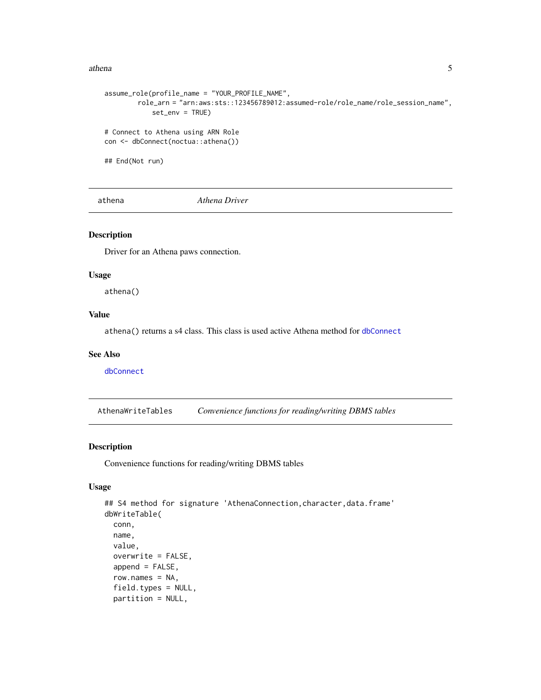#### <span id="page-4-0"></span>athena 5

```
assume_role(profile_name = "YOUR_PROFILE_NAME",
        role_arn = "arn:aws:sts::123456789012:assumed-role/role_name/role_session_name",
            set_env = TRUE)
# Connect to Athena using ARN Role
con <- dbConnect(noctua::athena())
## End(Not run)
```
athena *Athena Driver*

## Description

Driver for an Athena paws connection.

#### Usage

athena()

## Value

athena() returns a s4 class. This class is used active Athena method for [dbConnect](#page-11-1)

#### See Also

[dbConnect](#page-11-1)

<span id="page-4-1"></span>AthenaWriteTables *Convenience functions for reading/writing DBMS tables*

## Description

Convenience functions for reading/writing DBMS tables

## Usage

```
## S4 method for signature 'AthenaConnection,character,data.frame'
dbWriteTable(
 conn,
 name,
  value,
  overwrite = FALSE,
  append = FALSE,row.names = NA,
  field.types = NULL,
  partition = NULL,
```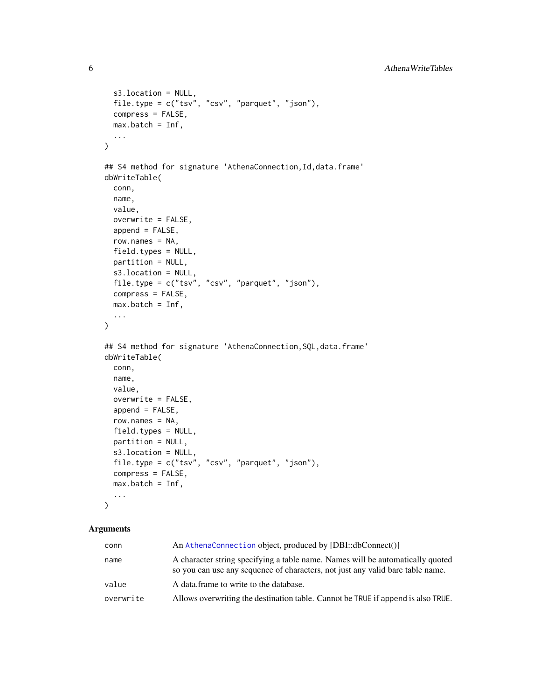```
s3.location = NULL,
  file.type = c("tsv", "csv", "parquet", "json"),
 compress = FALSE,
 max.batch = Inf,...
\mathcal{L}## S4 method for signature 'AthenaConnection, Id, data.frame'
dbWriteTable(
  conn,
 name,
  value,
 overwrite = FALSE,
  append = FALSE,row.names = NA,
  field.types = NULL,
 partition = NULL,
  s3.location = NULL,
 file.type = c("tsv", "csv", "parquet", "json"),
  compress = FALSE,
 max.batch = Inf,...
\mathcal{L}## S4 method for signature 'AthenaConnection, SQL, data.frame'
dbWriteTable(
  conn,
 name,
 value,
 overwrite = FALSE,
  append = FALSE,row.names = NA,
 field.types = NULL,
 partition = NULL,
  s3.location = NULL,
 file.type = c("tsv", "csv", "parquet", "json"),
 compress = FALSE,
 max.batch = Inf,...
\mathcal{L}
```
#### Arguments

| conn      | An AthenaConnection object, produced by [DBI::dbConnect()]                                                                                                       |  |
|-----------|------------------------------------------------------------------------------------------------------------------------------------------------------------------|--|
| name      | A character string specifying a table name. Names will be automatically quoted<br>so you can use any sequence of characters, not just any valid bare table name. |  |
| value     | A data frame to write to the database.                                                                                                                           |  |
| overwrite | Allows overwriting the destination table. Cannot be TRUE if append is also TRUE.                                                                                 |  |

<span id="page-5-0"></span>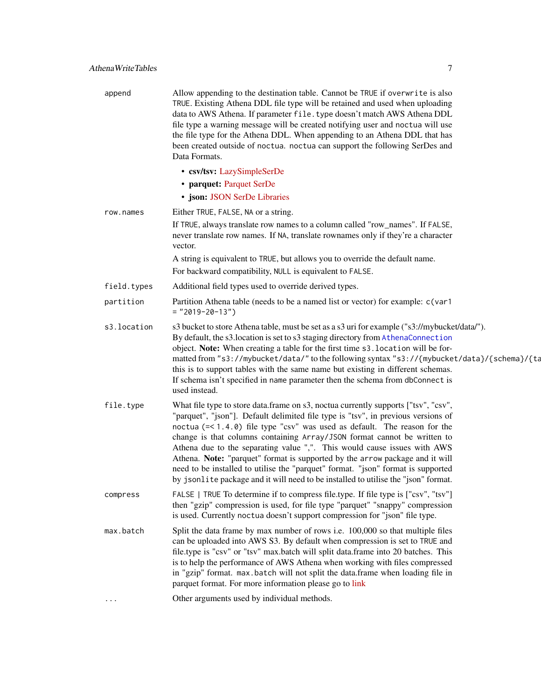<span id="page-6-0"></span>

| append      | Allow appending to the destination table. Cannot be TRUE if overwrite is also<br>TRUE. Existing Athena DDL file type will be retained and used when uploading<br>data to AWS Athena. If parameter file. type doesn't match AWS Athena DDL<br>file type a warning message will be created notifying user and noctua will use<br>the file type for the Athena DDL. When appending to an Athena DDL that has<br>been created outside of noctua. noctua can support the following SerDes and<br>Data Formats.                                                                                                                                                                              |
|-------------|----------------------------------------------------------------------------------------------------------------------------------------------------------------------------------------------------------------------------------------------------------------------------------------------------------------------------------------------------------------------------------------------------------------------------------------------------------------------------------------------------------------------------------------------------------------------------------------------------------------------------------------------------------------------------------------|
|             | • csv/tsv: LazySimpleSerDe                                                                                                                                                                                                                                                                                                                                                                                                                                                                                                                                                                                                                                                             |
|             | • parquet: Parquet SerDe                                                                                                                                                                                                                                                                                                                                                                                                                                                                                                                                                                                                                                                               |
|             | · json: JSON SerDe Libraries                                                                                                                                                                                                                                                                                                                                                                                                                                                                                                                                                                                                                                                           |
| row.names   | Either TRUE, FALSE, NA or a string.                                                                                                                                                                                                                                                                                                                                                                                                                                                                                                                                                                                                                                                    |
|             | If TRUE, always translate row names to a column called "row_names". If FALSE,<br>never translate row names. If NA, translate rownames only if they're a character<br>vector.                                                                                                                                                                                                                                                                                                                                                                                                                                                                                                           |
|             | A string is equivalent to TRUE, but allows you to override the default name.                                                                                                                                                                                                                                                                                                                                                                                                                                                                                                                                                                                                           |
|             | For backward compatibility, NULL is equivalent to FALSE.                                                                                                                                                                                                                                                                                                                                                                                                                                                                                                                                                                                                                               |
| field.types | Additional field types used to override derived types.                                                                                                                                                                                                                                                                                                                                                                                                                                                                                                                                                                                                                                 |
| partition   | Partition Athena table (needs to be a named list or vector) for example: c(var1<br>$=$ "2019-20-13")                                                                                                                                                                                                                                                                                                                                                                                                                                                                                                                                                                                   |
| s3.location | s3 bucket to store Athena table, must be set as a s3 uri for example ("s3://mybucket/data/").<br>By default, the s3.location is set to s3 staging directory from AthenaConnection<br>object. Note: When creating a table for the first time s3. location will be for-<br>matted from "s3://mybucket/data/" to the following syntax "s3://{mybucket/data}/{schema}/{ta<br>this is to support tables with the same name but existing in different schemas.<br>If schema isn't specified in name parameter then the schema from dbConnect is<br>used instead.                                                                                                                             |
| file.type   | What file type to store data.frame on s3, noctua currently supports ["tsv", "csv",<br>"parquet", "json"]. Default delimited file type is "tsv", in previous versions of<br>noctua $(=\langle 1.4.0 \rangle)$ file type "csv" was used as default. The reason for the<br>change is that columns containing Array/JSON format cannot be written to<br>Athena due to the separating value ",". This would cause issues with AWS<br>Athena. Note: "parquet" format is supported by the arrow package and it will<br>need to be installed to utilise the "parquet" format. "json" format is supported<br>by jsonlite package and it will need to be installed to utilise the "json" format. |
| compress    | FALSE   TRUE To determine if to compress file.type. If file type is ["csv", "tsv"]<br>then "gzip" compression is used, for file type "parquet" "snappy" compression<br>is used. Currently noctua doesn't support compression for "json" file type.                                                                                                                                                                                                                                                                                                                                                                                                                                     |
| max.batch   | Split the data frame by max number of rows i.e. 100,000 so that multiple files<br>can be uploaded into AWS S3. By default when compression is set to TRUE and<br>file.type is "csv" or "tsv" max.batch will split data.frame into 20 batches. This<br>is to help the performance of AWS Athena when working with files compressed<br>in "gzip" format. max.batch will not split the data.frame when loading file in<br>parquet format. For more information please go to link                                                                                                                                                                                                          |
|             | Other arguments used by individual methods.                                                                                                                                                                                                                                                                                                                                                                                                                                                                                                                                                                                                                                            |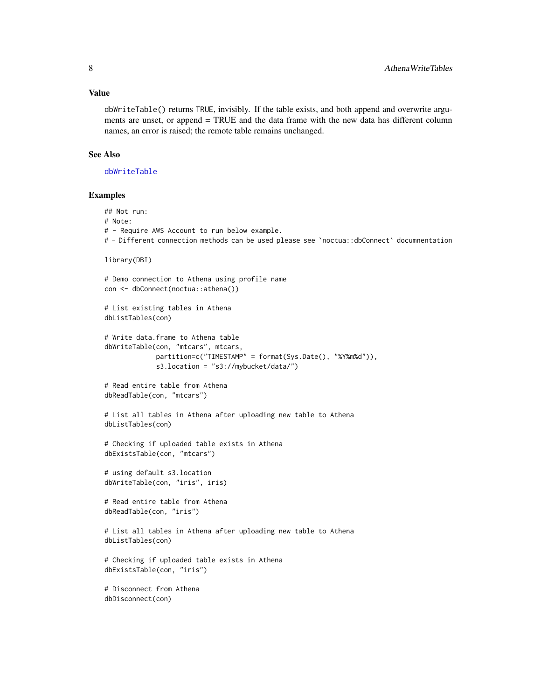#### <span id="page-7-0"></span>Value

dbWriteTable() returns TRUE, invisibly. If the table exists, and both append and overwrite arguments are unset, or append = TRUE and the data frame with the new data has different column names, an error is raised; the remote table remains unchanged.

## See Also

[dbWriteTable](#page-0-0)

```
## Not run:
# Note:
# - Require AWS Account to run below example.
# - Different connection methods can be used please see `noctua::dbConnect` documnentation
library(DBI)
# Demo connection to Athena using profile name
con <- dbConnect(noctua::athena())
# List existing tables in Athena
dbListTables(con)
# Write data.frame to Athena table
dbWriteTable(con, "mtcars", mtcars,
             partition=c("TIMESTAMP" = format(Sys.Date(), "%Y%m%d")),
             s3.location = "s3://mybucket/data/")
# Read entire table from Athena
dbReadTable(con, "mtcars")
# List all tables in Athena after uploading new table to Athena
dbListTables(con)
# Checking if uploaded table exists in Athena
dbExistsTable(con, "mtcars")
# using default s3.location
dbWriteTable(con, "iris", iris)
# Read entire table from Athena
dbReadTable(con, "iris")
# List all tables in Athena after uploading new table to Athena
dbListTables(con)
# Checking if uploaded table exists in Athena
dbExistsTable(con, "iris")
# Disconnect from Athena
dbDisconnect(con)
```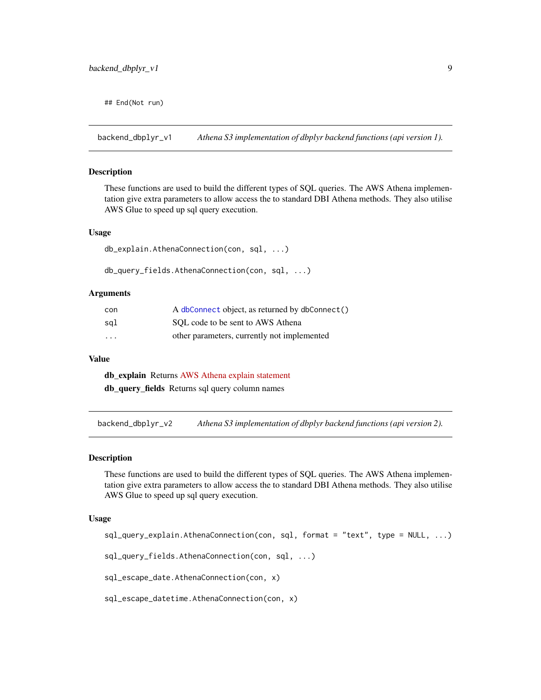<span id="page-8-0"></span>## End(Not run)

<span id="page-8-2"></span>backend\_dbplyr\_v1 *Athena S3 implementation of dbplyr backend functions (api version 1).*

#### Description

These functions are used to build the different types of SQL queries. The AWS Athena implementation give extra parameters to allow access the to standard DBI Athena methods. They also utilise AWS Glue to speed up sql query execution.

## Usage

```
db_explain.AthenaConnection(con, sql, ...)
```
db\_query\_fields.AthenaConnection(con, sql, ...)

#### Arguments

| con                     | A dbConnect object, as returned by dbConnect() |
|-------------------------|------------------------------------------------|
| sql                     | SOL code to be sent to AWS Athena              |
| $\cdot$ $\cdot$ $\cdot$ | other parameters, currently not implemented    |

#### Value

db\_explain Returns [AWS Athena explain statement](https://docs.aws.amazon.com/athena/latest/ug/athena-explain-statement.html) db\_query\_fields Returns sql query column names

<span id="page-8-1"></span>backend\_dbplyr\_v2 *Athena S3 implementation of dbplyr backend functions (api version 2).*

#### Description

These functions are used to build the different types of SQL queries. The AWS Athena implementation give extra parameters to allow access the to standard DBI Athena methods. They also utilise AWS Glue to speed up sql query execution.

#### Usage

```
sql_query_explain.AthenaConnection(con, sql, format = "text", type = NULL, ...)
```

```
sql_query_fields.AthenaConnection(con, sql, ...)
```
sql\_escape\_date.AthenaConnection(con, x)

sql\_escape\_datetime.AthenaConnection(con, x)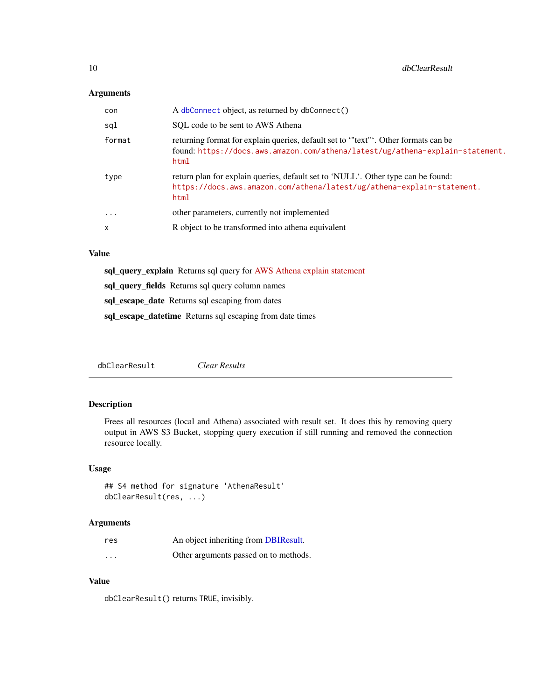## <span id="page-9-0"></span>Arguments

| con     | A dbConnect object, as returned by dbConnect()                                                                                                                             |
|---------|----------------------------------------------------------------------------------------------------------------------------------------------------------------------------|
| sql     | SOL code to be sent to AWS Athena                                                                                                                                          |
| format  | returning format for explain queries, default set to "text". Other formats can be<br>found: https://docs.aws.amazon.com/athena/latest/ug/athena-explain-statement.<br>html |
| type    | return plan for explain queries, default set to 'NULL'. Other type can be found:<br>https://docs.aws.amazon.com/athena/latest/ug/athena-explain-statement.<br>html         |
| $\cdot$ | other parameters, currently not implemented                                                                                                                                |
| X       | R object to be transformed into athena equivalent                                                                                                                          |

## Value

sql\_query\_explain Returns sql query for [AWS Athena explain statement](https://docs.aws.amazon.com/athena/latest/ug/athena-explain-statement.html)

sql\_query\_fields Returns sql query column names

sql\_escape\_date Returns sql escaping from dates

sql\_escape\_datetime Returns sql escaping from date times

dbClearResult *Clear Results*

## Description

Frees all resources (local and Athena) associated with result set. It does this by removing query output in AWS S3 Bucket, stopping query execution if still running and removed the connection resource locally.

#### Usage

```
## S4 method for signature 'AthenaResult'
dbClearResult(res, ...)
```
#### Arguments

| res      | An object inheriting from DBIResult.  |
|----------|---------------------------------------|
| $\cdots$ | Other arguments passed on to methods. |

## Value

dbClearResult() returns TRUE, invisibly.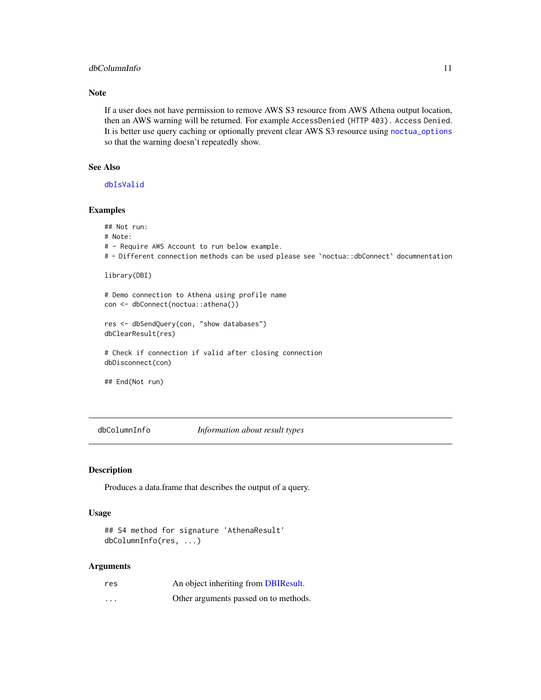## <span id="page-10-0"></span>dbColumnInfo 11

## Note

If a user does not have permission to remove AWS S3 resource from AWS Athena output location, then an AWS warning will be returned. For example AccessDenied (HTTP 403). Access Denied. It is better use query caching or optionally prevent clear AWS S3 resource using [noctua\\_options](#page-41-1) so that the warning doesn't repeatedly show.

## See Also

[dbIsValid](#page-28-1)

## Examples

## Not run: # Note:

- # Require AWS Account to run below example.
- # Different connection methods can be used please see `noctua::dbConnect` documnentation

```
library(DBI)
```
# Demo connection to Athena using profile name con <- dbConnect(noctua::athena())

res <- dbSendQuery(con, "show databases") dbClearResult(res)

# Check if connection if valid after closing connection dbDisconnect(con)

## End(Not run)

dbColumnInfo *Information about result types*

#### Description

Produces a data.frame that describes the output of a query.

#### Usage

```
## S4 method for signature 'AthenaResult'
dbColumnInfo(res, ...)
```
#### Arguments

| res      | An object inheriting from DBIResult.  |
|----------|---------------------------------------|
| $\cdots$ | Other arguments passed on to methods. |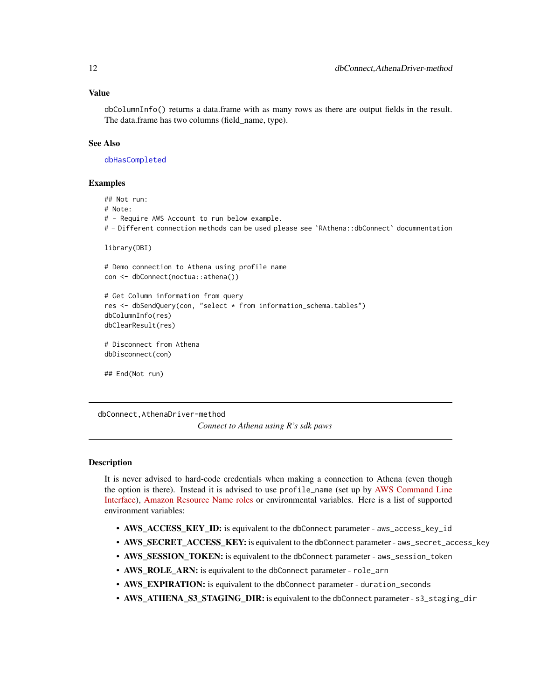#### <span id="page-11-0"></span>Value

dbColumnInfo() returns a data.frame with as many rows as there are output fields in the result. The data.frame has two columns (field\_name, type).

#### See Also

[dbHasCompleted](#page-27-1)

#### Examples

## Not run: # Note:

# - Require AWS Account to run below example.

# - Different connection methods can be used please see `RAthena::dbConnect` documnentation

```
library(DBI)
```

```
# Demo connection to Athena using profile name
con <- dbConnect(noctua::athena())
```

```
# Get Column information from query
res <- dbSendQuery(con, "select * from information_schema.tables")
dbColumnInfo(res)
dbClearResult(res)
```

```
# Disconnect from Athena
dbDisconnect(con)
```
## End(Not run)

dbConnect,AthenaDriver-method

*Connect to Athena using R's sdk paws*

## <span id="page-11-1"></span>**Description**

It is never advised to hard-code credentials when making a connection to Athena (even though the option is there). Instead it is advised to use profile\_name (set up by [AWS Command Line](https://aws.amazon.com/cli/) [Interface\)](https://aws.amazon.com/cli/), [Amazon Resource Name roles](https://docs.aws.amazon.com/general/latest/gr/aws-arns-and-namespaces.html) or environmental variables. Here is a list of supported environment variables:

- AWS\_ACCESS\_KEY\_ID: is equivalent to the dbConnect parameter aws\_access\_key\_id
- AWS\_SECRET\_ACCESS\_KEY: is equivalent to the dbConnect parameter aws\_secret\_access\_key
- AWS\_SESSION\_TOKEN: is equivalent to the dbConnect parameter aws\_session\_token
- AWS\_ROLE\_ARN: is equivalent to the dbConnect parameter role\_arn
- AWS EXPIRATION: is equivalent to the dbConnect parameter duration\_seconds
- AWS\_ATHENA\_S3\_STAGING\_DIR: is equivalent to the dbConnect parameter s3\_staging\_dir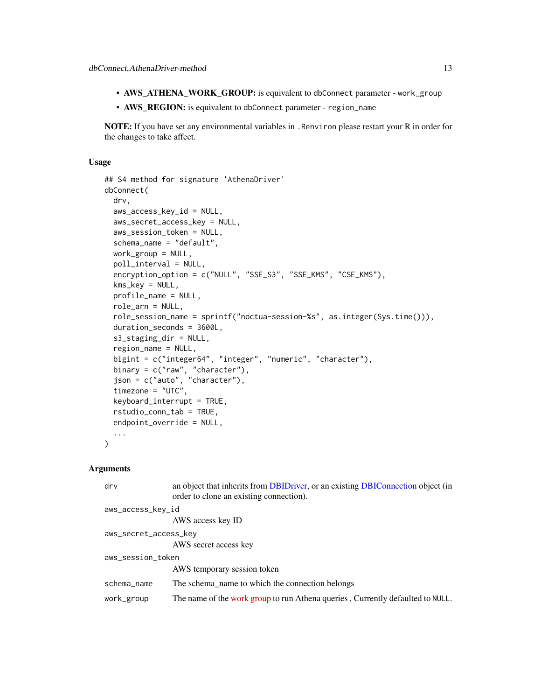- <span id="page-12-0"></span>• AWS\_ATHENA\_WORK\_GROUP: is equivalent to dbConnect parameter - work\_group
- AWS\_REGION: is equivalent to dbConnect parameter region\_name

NOTE: If you have set any environmental variables in . Renviron please restart your R in order for the changes to take affect.

## Usage

```
## S4 method for signature 'AthenaDriver'
dbConnect(
 drv,
  aws_access_key_id = NULL,
  aws_secret_access_key = NULL,
  aws_session_token = NULL,
  schema_name = "default",
 work_group = NULL,
 poll_interval = NULL,
  encryption_option = c("NULL", "SSE_S3", "SSE_KMS", "CSE_KMS"),
  kms_key = NULL,
 profile_name = NULL,
  role_arn = NULL,
  role_session_name = sprintf("noctua-session-%s", as.integer(Sys.time())),
 duration_seconds = 3600L,
  s3_staging_dir = NULL,
  region_name = NULL,
  bigint = c("integer64", "integer", "numeric", "character"),
 binary = c("raw", "character"),json = c("auto", "character"),
  timezone = "UTC",
  keyboard_interrupt = TRUE,
  rstudio_conn_tab = TRUE,
  endpoint_override = NULL,
  ...
\lambda
```
#### **Arguments**

| drv                   | an object that inherits from DBIDriver, or an existing DBIConnection object (in<br>order to clone an existing connection). |  |
|-----------------------|----------------------------------------------------------------------------------------------------------------------------|--|
| aws_access_key_id     |                                                                                                                            |  |
|                       | AWS access key ID                                                                                                          |  |
| aws_secret_access_key |                                                                                                                            |  |
|                       | AWS secret access key                                                                                                      |  |
| aws_session_token     |                                                                                                                            |  |
|                       | AWS temporary session token                                                                                                |  |
| schema_name           | The schema name to which the connection belongs                                                                            |  |
| work_group            | The name of the work group to run Athena queries, Currently defaulted to NULL.                                             |  |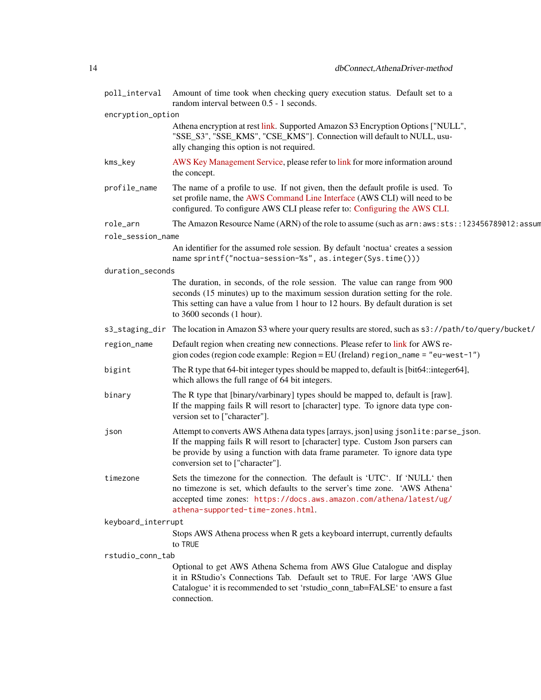|                    | poll_interval Amount of time took when checking query execution status. Default set to a<br>random interval between 0.5 - 1 seconds.                                                                                                                                                         |
|--------------------|----------------------------------------------------------------------------------------------------------------------------------------------------------------------------------------------------------------------------------------------------------------------------------------------|
| encryption_option  |                                                                                                                                                                                                                                                                                              |
|                    | Athena encryption at rest link. Supported Amazon S3 Encryption Options ["NULL",<br>"SSE_S3", "SSE_KMS", "CSE_KMS"]. Connection will default to NULL, usu-<br>ally changing this option is not required.                                                                                      |
| kms_key            | AWS Key Management Service, please refer to link for more information around<br>the concept.                                                                                                                                                                                                 |
| profile_name       | The name of a profile to use. If not given, then the default profile is used. To<br>set profile name, the AWS Command Line Interface (AWS CLI) will need to be<br>configured. To configure AWS CLI please refer to: Configuring the AWS CLI.                                                 |
| role_arn           | The Amazon Resource Name (ARN) of the role to assume (such as $arn: aws:sts::123456789012: assum$                                                                                                                                                                                            |
| role_session_name  |                                                                                                                                                                                                                                                                                              |
|                    | An identifier for the assumed role session. By default 'noctua' creates a session<br>name sprintf("noctua-session-%s", as.integer(Sys.time()))                                                                                                                                               |
| duration_seconds   |                                                                                                                                                                                                                                                                                              |
|                    | The duration, in seconds, of the role session. The value can range from 900<br>seconds (15 minutes) up to the maximum session duration setting for the role.<br>This setting can have a value from 1 hour to 12 hours. By default duration is set<br>to 3600 seconds (1 hour).               |
| s3_staging_dir     | The location in Amazon S3 where your query results are stored, such as s3://path/to/query/bucket/                                                                                                                                                                                            |
| region_name        | Default region when creating new connections. Please refer to link for AWS re-<br>gion codes (region code example: Region = EU (Ireland) region_name = "eu-west-1")                                                                                                                          |
| bigint             | The R type that 64-bit integer types should be mapped to, default is [bit64::integer64],<br>which allows the full range of 64 bit integers.                                                                                                                                                  |
| binary             | The R type that [binary/varbinary] types should be mapped to, default is [raw].<br>If the mapping fails R will resort to [character] type. To ignore data type con-<br>version set to ["character"].                                                                                         |
| json               | Attempt to converts AWS Athena data types [arrays, json] using jsonlite: parse_json.<br>If the mapping fails R will resort to [character] type. Custom Json parsers can<br>be provide by using a function with data frame parameter. To ignore data type<br>conversion set to ["character"]. |
| timezone           | Sets the timezone for the connection. The default is 'UTC'. If 'NULL' then<br>no timezone is set, which defaults to the server's time zone. 'AWS Athena'<br>accepted time zones: https://docs.aws.amazon.com/athena/latest/ug/<br>athena-supported-time-zones.html.                          |
| keyboard_interrupt |                                                                                                                                                                                                                                                                                              |
|                    | Stops AWS Athena process when R gets a keyboard interrupt, currently defaults<br>to TRUE                                                                                                                                                                                                     |
| rstudio_conn_tab   |                                                                                                                                                                                                                                                                                              |
|                    | Optional to get AWS Athena Schema from AWS Glue Catalogue and display<br>it in RStudio's Connections Tab. Default set to TRUE. For large 'AWS Glue<br>Catalogue' it is recommended to set 'rstudio_conn_tab=FALSE' to ensure a fast<br>connection.                                           |
|                    |                                                                                                                                                                                                                                                                                              |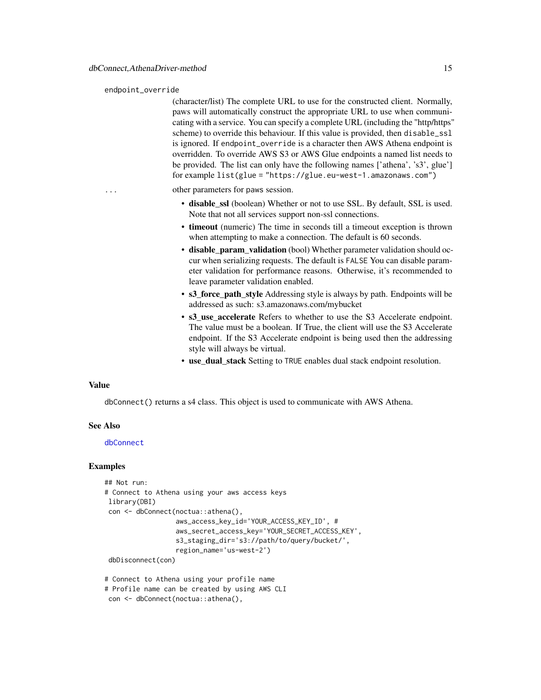#### <span id="page-14-0"></span>endpoint\_override

(character/list) The complete URL to use for the constructed client. Normally, paws will automatically construct the appropriate URL to use when communicating with a service. You can specify a complete URL (including the "http/https" scheme) to override this behaviour. If this value is provided, then disable\_ssl is ignored. If endpoint\_override is a character then AWS Athena endpoint is overridden. To override AWS S3 or AWS Glue endpoints a named list needs to be provided. The list can only have the following names ['athena', 's3', glue'] for example list(glue = "https://glue.eu-west-1.amazonaws.com")

other parameters for paws session.

- disable\_ssl (boolean) Whether or not to use SSL. By default, SSL is used. Note that not all services support non-ssl connections.
- timeout (numeric) The time in seconds till a timeout exception is thrown when attempting to make a connection. The default is 60 seconds.
- disable param validation (bool) Whether parameter validation should occur when serializing requests. The default is FALSE You can disable parameter validation for performance reasons. Otherwise, it's recommended to leave parameter validation enabled.
- s3\_force\_path\_style Addressing style is always by path. Endpoints will be addressed as such: s3.amazonaws.com/mybucket
- s3\_use\_accelerate Refers to whether to use the S3 Accelerate endpoint. The value must be a boolean. If True, the client will use the S3 Accelerate endpoint. If the S3 Accelerate endpoint is being used then the addressing style will always be virtual.
- use dual stack Setting to TRUE enables dual stack endpoint resolution.

#### Value

dbConnect() returns a s4 class. This object is used to communicate with AWS Athena.

#### See Also

#### [dbConnect](#page-11-1)

#### Examples

```
## Not run:
# Connect to Athena using your aws access keys
library(DBI)
con <- dbConnect(noctua::athena(),
                  aws_access_key_id='YOUR_ACCESS_KEY_ID', #
                  aws_secret_access_key='YOUR_SECRET_ACCESS_KEY',
                  s3_staging_dir='s3://path/to/query/bucket/',
                  region_name='us-west-2')
dbDisconnect(con)
```
# Connect to Athena using your profile name # Profile name can be created by using AWS CLI con <- dbConnect(noctua::athena(),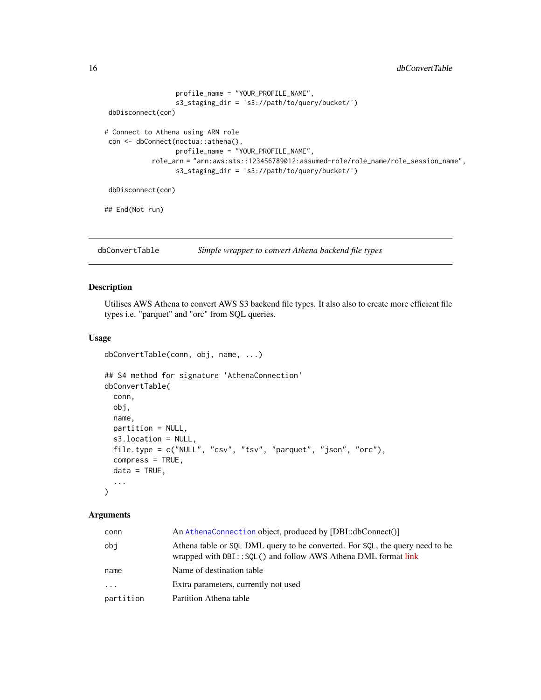```
profile_name = "YOUR_PROFILE_NAME",
                  s3_staging_dir = 's3://path/to/query/bucket/')
dbDisconnect(con)
# Connect to Athena using ARN role
con <- dbConnect(noctua::athena(),
                 profile_name = "YOUR_PROFILE_NAME",
           role_arn = "arn:aws:sts::123456789012:assumed-role/role_name/role_session_name",
                  s3_staging_dir = 's3://path/to/query/bucket/')
dbDisconnect(con)
## End(Not run)
```
dbConvertTable *Simple wrapper to convert Athena backend file types*

## Description

Utilises AWS Athena to convert AWS S3 backend file types. It also also to create more efficient file types i.e. "parquet" and "orc" from SQL queries.

#### Usage

```
dbConvertTable(conn, obj, name, ...)
## S4 method for signature 'AthenaConnection'
dbConvertTable(
  conn,
  obj,
 name,
 partition = NULL,
  s3.location = NULL,
  file.type = c("NULL", "csv", "tsv", "parquet", "json", "orc"),
  compress = TRUE,
  data = TRUE,...
)
```
# Arguments

## conn An [AthenaConnection](#page-0-0) object, produced by [DBI::dbConnect()] obj Athena table or SQL DML query to be converted. For SQL, the query need to be wrapped with DBI:: SQL() and follow AWS Athena DML format [link](https://docs.aws.amazon.com/athena/latest/ug/select.html) name Name of destination table ... Extra parameters, currently not used partition Partition Athena table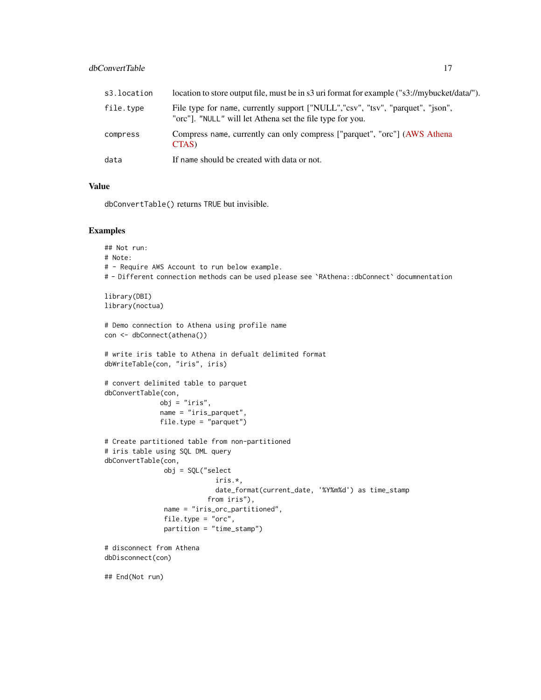## dbConvertTable 17

| s3.location | location to store output file, must be in s3 uri format for example ("s3://mybucket/data/").                                                |
|-------------|---------------------------------------------------------------------------------------------------------------------------------------------|
| file.type   | File type for name, currently support ["NULL","csv", "tsv", "parquet", "json",<br>"orc"]. "NULL" will let Athena set the file type for you. |
| compress    | Compress name, currently can only compress ["parquet", "orc"] (AWS Athena<br>CTAS)                                                          |
| data        | If name should be created with data or not.                                                                                                 |

#### Value

dbConvertTable() returns TRUE but invisible.

```
## Not run:
# Note:
# - Require AWS Account to run below example.
# - Different connection methods can be used please see `RAthena::dbConnect` documnentation
library(DBI)
library(noctua)
# Demo connection to Athena using profile name
con <- dbConnect(athena())
# write iris table to Athena in defualt delimited format
dbWriteTable(con, "iris", iris)
# convert delimited table to parquet
dbConvertTable(con,
              obj = "iris",
              name = "iris_parquet",
              file.type = "parquet")
# Create partitioned table from non-partitioned
# iris table using SQL DML query
dbConvertTable(con,
               obj = SQL("select
                            iris.*,
                            date_format(current_date, '%Y%m%d') as time_stamp
                          from iris"),
               name = "iris_orc_partitioned",
               file.type = "orc",
               partition = "time_stamp")
# disconnect from Athena
dbDisconnect(con)
## End(Not run)
```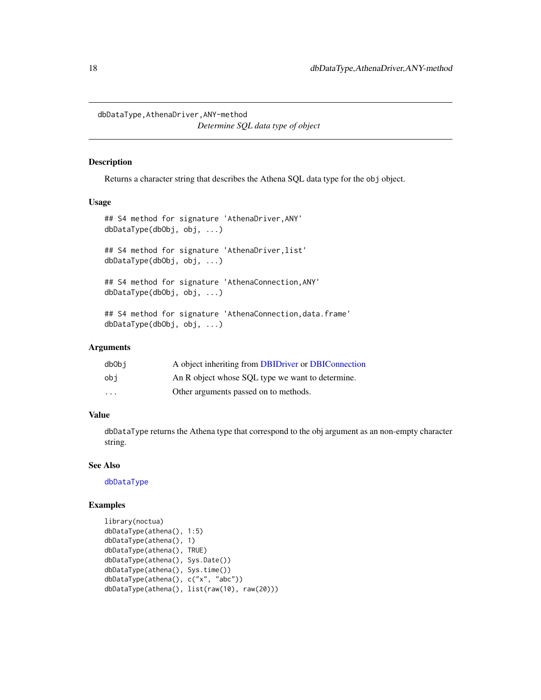<span id="page-17-0"></span>dbDataType,AthenaDriver,ANY-method *Determine SQL data type of object*

## <span id="page-17-1"></span>Description

Returns a character string that describes the Athena SQL data type for the obj object.

## Usage

```
## S4 method for signature 'AthenaDriver,ANY'
dbDataType(dbObj, obj, ...)
## S4 method for signature 'AthenaDriver, list'
dbDataType(dbObj, obj, ...)
## S4 method for signature 'AthenaConnection,ANY'
dbDataType(dbObj, obj, ...)
## S4 method for signature 'AthenaConnection, data.frame'
dbDataType(dbObj, obj, ...)
```
## Arguments

| dbObi    | A object inheriting from DBIDriver or DBIConnection |
|----------|-----------------------------------------------------|
| obi      | An R object whose SQL type we want to determine.    |
| $\cdots$ | Other arguments passed on to methods.               |

#### Value

dbDataType returns the Athena type that correspond to the obj argument as an non-empty character string.

## See Also

[dbDataType](#page-17-1)

```
library(noctua)
dbDataType(athena(), 1:5)
dbDataType(athena(), 1)
dbDataType(athena(), TRUE)
dbDataType(athena(), Sys.Date())
dbDataType(athena(), Sys.time())
dbDataType(athena(), c("x", "abc"))
dbDataType(athena(), list(raw(10), raw(20)))
```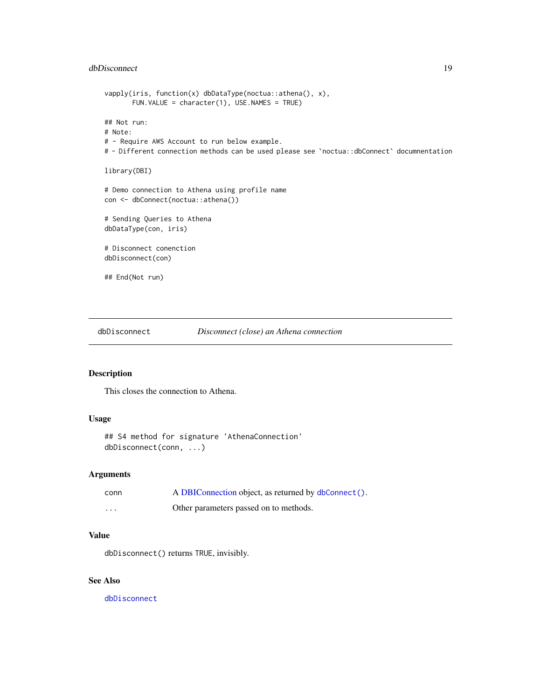## <span id="page-18-0"></span>dbDisconnect 19

```
vapply(iris, function(x) dbDataType(noctua::athena(), x),
       FUN.VALUE = character(1), USE.NAMES = TRUE)
## Not run:
# Note:
# - Require AWS Account to run below example.
# - Different connection methods can be used please see `noctua::dbConnect` documnentation
library(DBI)
# Demo connection to Athena using profile name
con <- dbConnect(noctua::athena())
# Sending Queries to Athena
dbDataType(con, iris)
# Disconnect conenction
dbDisconnect(con)
## End(Not run)
```
<span id="page-18-1"></span>dbDisconnect *Disconnect (close) an Athena connection*

## Description

This closes the connection to Athena.

## Usage

## S4 method for signature 'AthenaConnection' dbDisconnect(conn, ...)

#### Arguments

| conn              | A DBIConnection object, as returned by dbConnect(). |
|-------------------|-----------------------------------------------------|
| $\cdot\cdot\cdot$ | Other parameters passed on to methods.              |

## Value

dbDisconnect() returns TRUE, invisibly.

## See Also

[dbDisconnect](#page-18-1)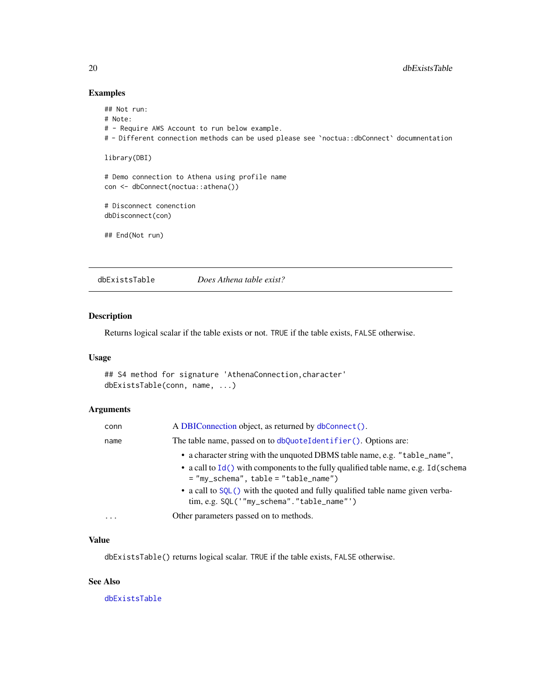## Examples

```
## Not run:
# Note:
# - Require AWS Account to run below example.
# - Different connection methods can be used please see `noctua::dbConnect` documnentation
library(DBI)
# Demo connection to Athena using profile name
con <- dbConnect(noctua::athena())
# Disconnect conenction
dbDisconnect(con)
## End(Not run)
```
<span id="page-19-1"></span>dbExistsTable *Does Athena table exist?*

## Description

Returns logical scalar if the table exists or not. TRUE if the table exists, FALSE otherwise.

## Usage

```
## S4 method for signature 'AthenaConnection, character'
dbExistsTable(conn, name, ...)
```
## Arguments

| conn                    | A DBIConnection object, as returned by dbConnect().                                                                               |
|-------------------------|-----------------------------------------------------------------------------------------------------------------------------------|
| name                    | The table name, passed on to dbQuoteIdentifier(). Options are:                                                                    |
|                         | • a character string with the unquoted DBMS table name, e.g. "table_name",                                                        |
|                         | • a call to Id() with components to the fully qualified table name, e.g. Id(schema<br>$=$ "my_schema", table = "table_name")      |
|                         | • a call to SQL() with the quoted and fully qualified table name given verba-<br>$\lim, e.g.$ SQL('"my_schema"." $table_name$ "') |
| $\cdot$ $\cdot$ $\cdot$ | Other parameters passed on to methods.                                                                                            |

## Value

dbExistsTable() returns logical scalar. TRUE if the table exists, FALSE otherwise.

## See Also

[dbExistsTable](#page-19-1)

<span id="page-19-0"></span>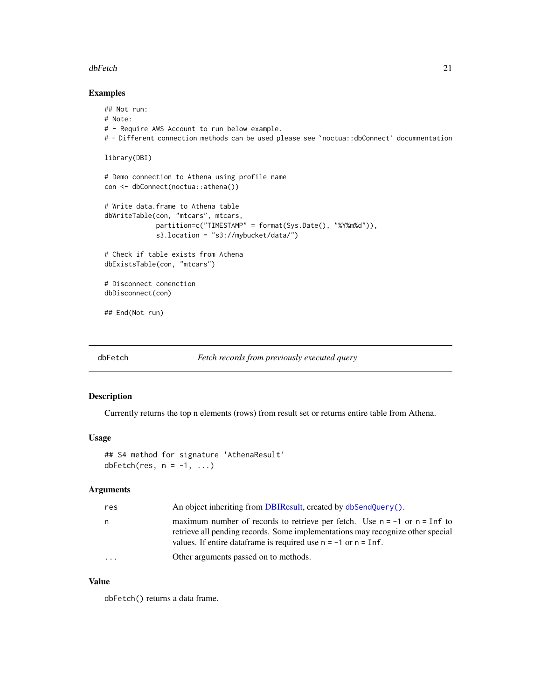#### <span id="page-20-0"></span>dbFetch 21

## Examples

```
## Not run:
# Note:
# - Require AWS Account to run below example.
# - Different connection methods can be used please see `noctua::dbConnect` documnentation
library(DBI)
# Demo connection to Athena using profile name
con <- dbConnect(noctua::athena())
# Write data.frame to Athena table
dbWriteTable(con, "mtcars", mtcars,
             partition=c("TIMESTAMP" = format(Sys.Date(), "%Y%m%d")),
             s3.location = "s3://mybucket/data/")
# Check if table exists from Athena
dbExistsTable(con, "mtcars")
# Disconnect conenction
dbDisconnect(con)
## End(Not run)
```
<span id="page-20-1"></span>

## dbFetch *Fetch records from previously executed query*

#### Description

Currently returns the top n elements (rows) from result set or returns entire table from Athena.

## Usage

```
## S4 method for signature 'AthenaResult'
dbFetch(res, n = -1, ...)
```
#### Arguments

| res      | An object inheriting from DBIR esult, created by $db$ SendQuery().                                                                                                                                                                                    |
|----------|-------------------------------------------------------------------------------------------------------------------------------------------------------------------------------------------------------------------------------------------------------|
| n        | maximum number of records to retrieve per fetch. Use $n = -1$ or $n = \text{Inf}$ to<br>retrieve all pending records. Some implementations may recognize other special<br>values. If entire data frame is required use $n = -1$ or $n = \text{Inf}$ . |
| $\cdots$ | Other arguments passed on to methods.                                                                                                                                                                                                                 |

## Value

dbFetch() returns a data frame.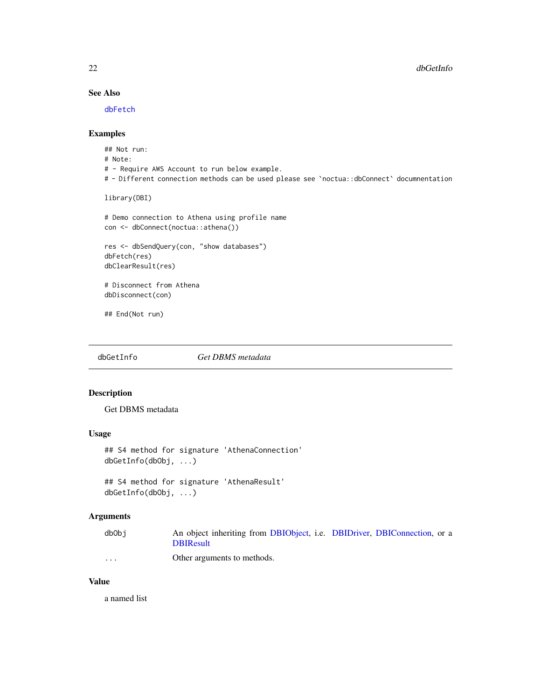## <span id="page-21-0"></span>See Also

[dbFetch](#page-20-1)

## Examples

## Not run: # Note: # - Require AWS Account to run below example. # - Different connection methods can be used please see `noctua::dbConnect` documnentation library(DBI) # Demo connection to Athena using profile name con <- dbConnect(noctua::athena()) res <- dbSendQuery(con, "show databases") dbFetch(res) dbClearResult(res) # Disconnect from Athena dbDisconnect(con) ## End(Not run)

<span id="page-21-1"></span>dbGetInfo *Get DBMS metadata*

## Description

Get DBMS metadata

## Usage

```
## S4 method for signature 'AthenaConnection'
dbGetInfo(dbObj, ...)
```
## S4 method for signature 'AthenaResult' dbGetInfo(dbObj, ...)

## Arguments

| dbObi    | An object inheriting from DBIObject, i.e. DBIDriver, DBIConnection, or a |  |  |
|----------|--------------------------------------------------------------------------|--|--|
|          | <b>DBIResult</b>                                                         |  |  |
| $\cdots$ | Other arguments to methods.                                              |  |  |

## Value

a named list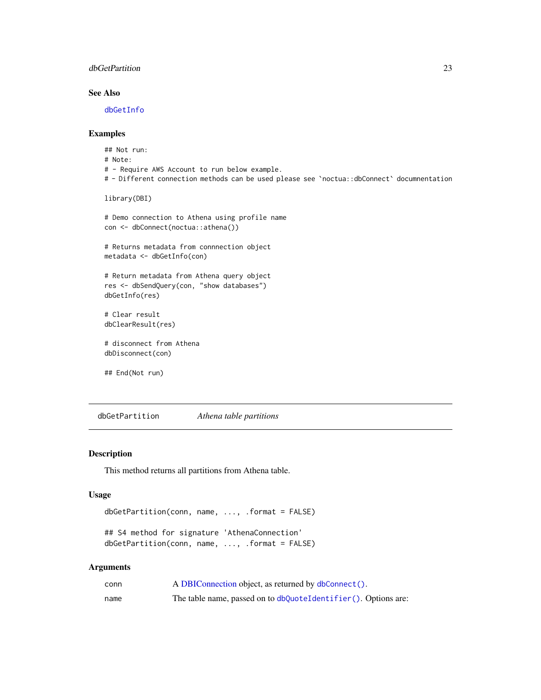## <span id="page-22-0"></span>dbGetPartition 23

## See Also

[dbGetInfo](#page-21-1)

## Examples

```
## Not run:
# Note:
# - Require AWS Account to run below example.
# - Different connection methods can be used please see `noctua::dbConnect` documnentation
library(DBI)
# Demo connection to Athena using profile name
con <- dbConnect(noctua::athena())
# Returns metadata from connnection object
metadata <- dbGetInfo(con)
# Return metadata from Athena query object
res <- dbSendQuery(con, "show databases")
dbGetInfo(res)
# Clear result
dbClearResult(res)
# disconnect from Athena
dbDisconnect(con)
## End(Not run)
```
dbGetPartition *Athena table partitions*

#### Description

This method returns all partitions from Athena table.

#### Usage

```
dbGetPartition(conn, name, ..., .format = FALSE)
```

```
## S4 method for signature 'AthenaConnection'
dbGetPartition(conn, name, ..., .format = FALSE)
```
#### Arguments

| conn | A DBIConnection object, as returned by dbConnect().            |
|------|----------------------------------------------------------------|
| name | The table name, passed on to dbQuoteIdentifier(). Options are: |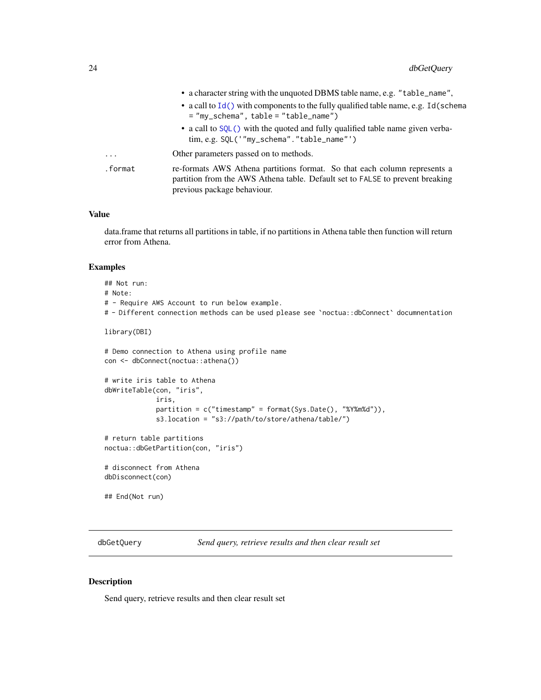<span id="page-23-0"></span>

|         | • a character string with the unquoted DBMS table name, e.g. "table_name",                                                                                                                |
|---------|-------------------------------------------------------------------------------------------------------------------------------------------------------------------------------------------|
|         | • a call to Id() with components to the fully qualified table name, e.g. Id(schema<br>$=$ "my_schema", table = "table_name")                                                              |
|         | • a call to SQL() with the quoted and fully qualified table name given verba-<br>$\lim, e.g.$ SQL('"my_schema"." $table_name$ "')                                                         |
| .       | Other parameters passed on to methods.                                                                                                                                                    |
| .format | re-formats AWS Athena partitions format. So that each column represents a<br>partition from the AWS Athena table. Default set to FALSE to prevent breaking<br>previous package behaviour. |

## Value

data.frame that returns all partitions in table, if no partitions in Athena table then function will return error from Athena.

## Examples

## Not run: # Note: # - Require AWS Account to run below example. # - Different connection methods can be used please see `noctua::dbConnect` documnentation library(DBI) # Demo connection to Athena using profile name con <- dbConnect(noctua::athena()) # write iris table to Athena dbWriteTable(con, "iris", iris, partition = c("timestamp" = format(Sys.Date(), "%Y%m%d")), s3.location = "s3://path/to/store/athena/table/") # return table partitions noctua::dbGetPartition(con, "iris") # disconnect from Athena dbDisconnect(con) ## End(Not run)

<span id="page-23-1"></span>dbGetQuery *Send query, retrieve results and then clear result set*

#### Description

Send query, retrieve results and then clear result set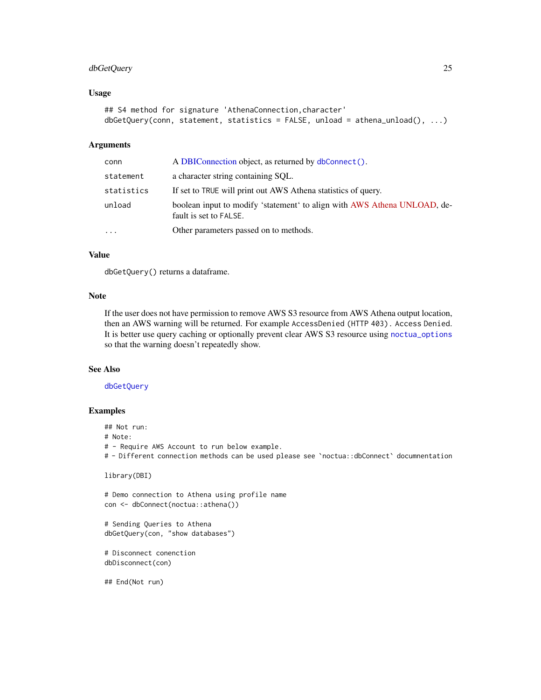## <span id="page-24-0"></span>dbGetQuery 25

#### Usage

```
## S4 method for signature 'AthenaConnection, character'
dbGetQuery(conn, statement, statistics = FALSE, unload = athena_unload(), ...)
```
## Arguments

| conn       | A DBIConnection object, as returned by dbConnect().                                                |
|------------|----------------------------------------------------------------------------------------------------|
| statement  | a character string containing SQL.                                                                 |
| statistics | If set to TRUE will print out AWS Athena statistics of query.                                      |
| unload     | boolean input to modify 'statement' to align with AWS Athena UNLOAD, de-<br>fault is set to FALSE. |
| .          | Other parameters passed on to methods.                                                             |

## Value

dbGetQuery() returns a dataframe.

## Note

If the user does not have permission to remove AWS S3 resource from AWS Athena output location, then an AWS warning will be returned. For example AccessDenied (HTTP 403). Access Denied. It is better use query caching or optionally prevent clear AWS S3 resource using [noctua\\_options](#page-41-1) so that the warning doesn't repeatedly show.

## See Also

[dbGetQuery](#page-23-1)

#### Examples

## Not run:

# Note:

# - Require AWS Account to run below example.

# - Different connection methods can be used please see `noctua::dbConnect` documnentation

```
library(DBI)
```

```
# Demo connection to Athena using profile name
con <- dbConnect(noctua::athena())
```

```
# Sending Queries to Athena
dbGetQuery(con, "show databases")
```

```
# Disconnect conenction
dbDisconnect(con)
```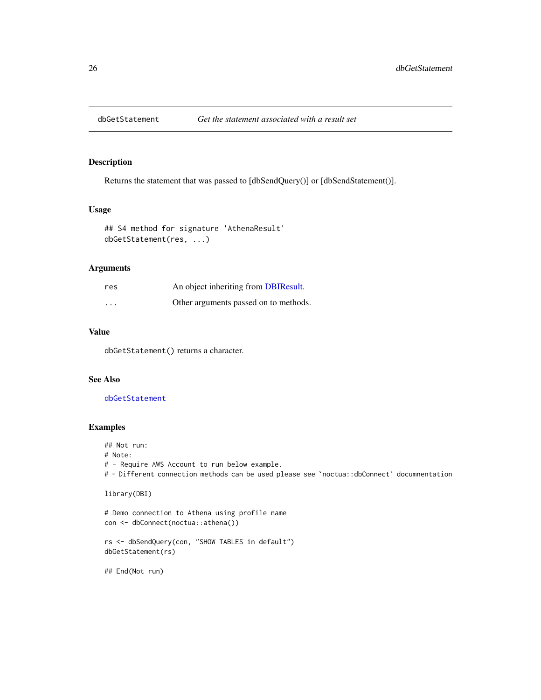<span id="page-25-1"></span><span id="page-25-0"></span>

#### Description

Returns the statement that was passed to [dbSendQuery()] or [dbSendStatement()].

## Usage

```
## S4 method for signature 'AthenaResult'
dbGetStatement(res, ...)
```
## Arguments

| res      | An object inheriting from DBIResult.  |
|----------|---------------------------------------|
| $\cdots$ | Other arguments passed on to methods. |

## Value

dbGetStatement() returns a character.

## See Also

[dbGetStatement](#page-25-1)

## Examples

## Not run:

# Note:

# - Require AWS Account to run below example.

# - Different connection methods can be used please see `noctua::dbConnect` documnentation

```
library(DBI)
```

```
# Demo connection to Athena using profile name
con <- dbConnect(noctua::athena())
```

```
rs <- dbSendQuery(con, "SHOW TABLES in default")
dbGetStatement(rs)
```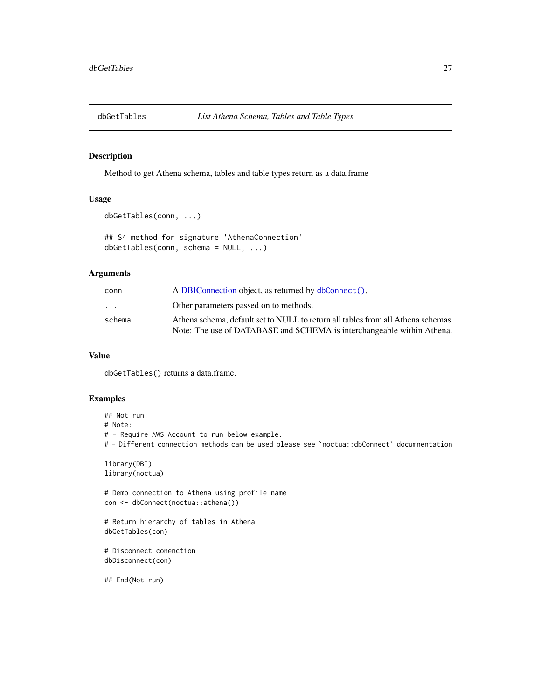<span id="page-26-0"></span>

## Description

Method to get Athena schema, tables and table types return as a data.frame

## Usage

```
dbGetTables(conn, ...)
```
## S4 method for signature 'AthenaConnection' dbGetTables(conn, schema = NULL, ...)

## Arguments

| conn                    | A DBIConnection object, as returned by dbConnect().                              |
|-------------------------|----------------------------------------------------------------------------------|
| $\cdot$ $\cdot$ $\cdot$ | Other parameters passed on to methods.                                           |
| schema                  | Athena schema, default set to NULL to return all tables from all Athena schemas. |
|                         | Note: The use of DATABASE and SCHEMA is interchangeable within Athena.           |

## Value

dbGetTables() returns a data.frame.

## Examples

```
## Not run:
# Note:
# - Require AWS Account to run below example.
# - Different connection methods can be used please see `noctua::dbConnect` documnentation
library(DBI)
library(noctua)
# Demo connection to Athena using profile name
con <- dbConnect(noctua::athena())
# Return hierarchy of tables in Athena
dbGetTables(con)
```

```
# Disconnect conenction
dbDisconnect(con)
```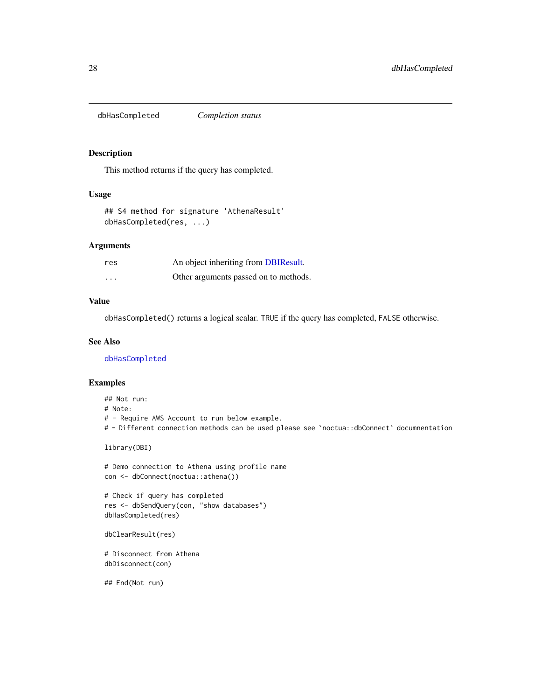<span id="page-27-1"></span><span id="page-27-0"></span>dbHasCompleted *Completion status*

#### Description

This method returns if the query has completed.

## Usage

## S4 method for signature 'AthenaResult' dbHasCompleted(res, ...)

#### Arguments

| res      | An object inheriting from DBIResult.  |
|----------|---------------------------------------|
| $\cdots$ | Other arguments passed on to methods. |

## Value

dbHasCompleted() returns a logical scalar. TRUE if the query has completed, FALSE otherwise.

## See Also

[dbHasCompleted](#page-27-1)

#### Examples

## Not run:

# Note:

# - Require AWS Account to run below example.

# - Different connection methods can be used please see `noctua::dbConnect` documnentation

library(DBI)

# Demo connection to Athena using profile name con <- dbConnect(noctua::athena())

```
# Check if query has completed
res <- dbSendQuery(con, "show databases")
dbHasCompleted(res)
```

```
dbClearResult(res)
```
# Disconnect from Athena dbDisconnect(con)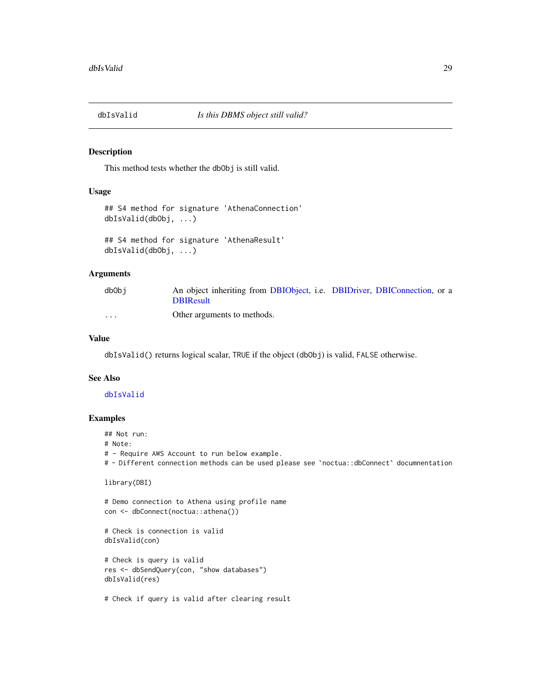<span id="page-28-1"></span><span id="page-28-0"></span>

#### Description

This method tests whether the dbObj is still valid.

#### Usage

```
## S4 method for signature 'AthenaConnection'
dbIsValid(dbObj, ...)
```

```
## S4 method for signature 'AthenaResult'
dbIsValid(dbObj, ...)
```
## Arguments

| dbObi    | An object inheriting from DBIObject, i.e. DBIDriver, DBIConnection, or a |  |  |
|----------|--------------------------------------------------------------------------|--|--|
|          | <b>DBIResult</b>                                                         |  |  |
| $\cdots$ | Other arguments to methods.                                              |  |  |

## Value

dbIsValid() returns logical scalar, TRUE if the object (dbObj) is valid, FALSE otherwise.

#### See Also

## [dbIsValid](#page-28-1)

## Examples

## Not run: # Note: # - Require AWS Account to run below example. # - Different connection methods can be used please see `noctua::dbConnect` documnentation

```
library(DBI)
```
# Demo connection to Athena using profile name con <- dbConnect(noctua::athena())

```
# Check is connection is valid
dbIsValid(con)
```

```
# Check is query is valid
res <- dbSendQuery(con, "show databases")
dbIsValid(res)
```
# Check if query is valid after clearing result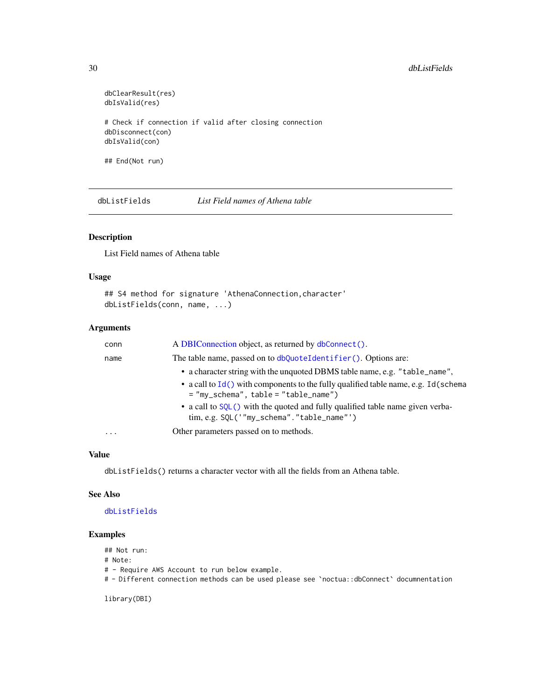```
dbClearResult(res)
dbIsValid(res)
# Check if connection if valid after closing connection
dbDisconnect(con)
dbIsValid(con)
```
## End(Not run)

<span id="page-29-1"></span>dbListFields *List Field names of Athena table*

## Description

List Field names of Athena table

## Usage

```
## S4 method for signature 'AthenaConnection, character'
dbListFields(conn, name, ...)
```
#### Arguments

| conn     | A DBIConnection object, as returned by dbConnect().                                                                                                                                                          |
|----------|--------------------------------------------------------------------------------------------------------------------------------------------------------------------------------------------------------------|
| name     | The table name, passed on to dbQuoteIdentifier(). Options are:                                                                                                                                               |
|          | • a character string with the unquoted DBMS table name, e.g. "table_name",<br>• a call to $Id()$ with components to the fully qualified table name, e.g. Id(schema<br>$=$ "my_schema", table = "table_name") |
|          | • a call to SQL() with the quoted and fully qualified table name given verba-<br>tim, e.g. SQL('"my_schema"."table_name"')                                                                                   |
| $\cdots$ | Other parameters passed on to methods.                                                                                                                                                                       |

## Value

dbListFields() returns a character vector with all the fields from an Athena table.

#### See Also

## [dbListFields](#page-29-1)

#### Examples

## Not run:

# Note:

# - Require AWS Account to run below example.

# - Different connection methods can be used please see `noctua::dbConnect` documnentation

library(DBI)

<span id="page-29-0"></span>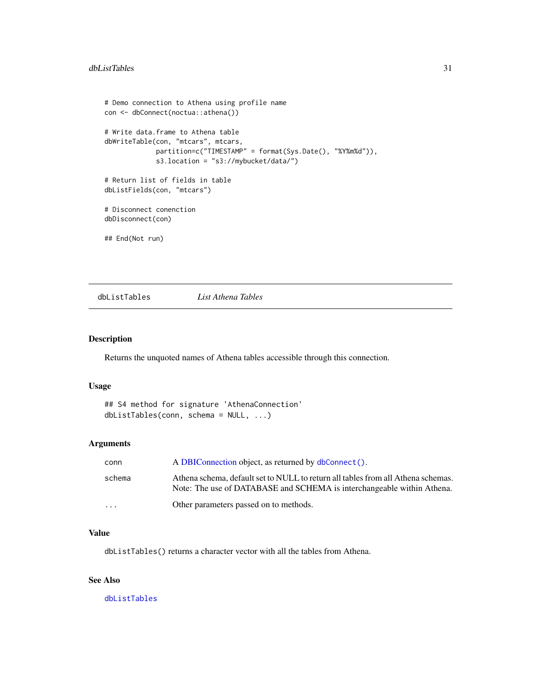```
# Demo connection to Athena using profile name
con <- dbConnect(noctua::athena())
# Write data.frame to Athena table
dbWriteTable(con, "mtcars", mtcars,
             partition=c("TIMESTAMP" = format(Sys.Date(), "%Y%m%d")),
             s3.location = "s3://mybucket/data/")
# Return list of fields in table
dbListFields(con, "mtcars")
# Disconnect conenction
dbDisconnect(con)
## End(Not run)
```
<span id="page-30-1"></span>dbListTables *List Athena Tables*

## Description

Returns the unquoted names of Athena tables accessible through this connection.

## Usage

```
## S4 method for signature 'AthenaConnection'
dbListTables(conn, schema = NULL, ...)
```
#### Arguments

| conn     | A DBIConnection object, as returned by dbConnect().                                                                                                        |
|----------|------------------------------------------------------------------------------------------------------------------------------------------------------------|
| schema   | Athena schema, default set to NULL to return all tables from all Athena schemas.<br>Note: The use of DATABASE and SCHEMA is interchangeable within Athena. |
| $\cdots$ | Other parameters passed on to methods.                                                                                                                     |

#### Value

dbListTables() returns a character vector with all the tables from Athena.

## See Also

[dbListTables](#page-30-1)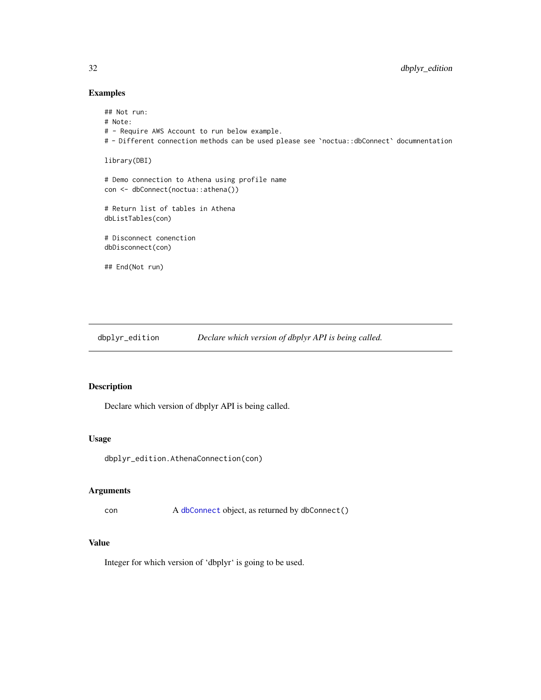## Examples

```
## Not run:
# Note:
# - Require AWS Account to run below example.
# - Different connection methods can be used please see `noctua::dbConnect` documnentation
library(DBI)
# Demo connection to Athena using profile name
con <- dbConnect(noctua::athena())
# Return list of tables in Athena
dbListTables(con)
# Disconnect conenction
dbDisconnect(con)
## End(Not run)
```
dbplyr\_edition *Declare which version of dbplyr API is being called.*

## Description

Declare which version of dbplyr API is being called.

## Usage

dbplyr\_edition.AthenaConnection(con)

## Arguments

con A [dbConnect](#page-11-1) object, as returned by dbConnect()

## Value

Integer for which version of 'dbplyr' is going to be used.

<span id="page-31-0"></span>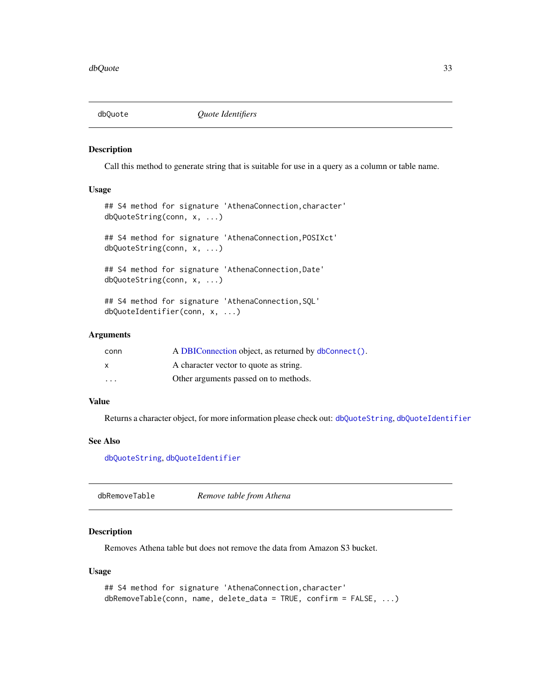<span id="page-32-0"></span>

#### Description

Call this method to generate string that is suitable for use in a query as a column or table name.

## Usage

```
## S4 method for signature 'AthenaConnection, character'
dbQuoteString(conn, x, ...)
```
## S4 method for signature 'AthenaConnection,POSIXct' dbQuoteString(conn, x, ...)

## S4 method for signature 'AthenaConnection,Date' dbQuoteString(conn, x, ...)

## S4 method for signature 'AthenaConnection,SQL' dbQuoteIdentifier(conn, x, ...)

## Arguments

| conn    | A DBIConnection object, as returned by dbConnect(). |
|---------|-----------------------------------------------------|
| X       | A character vector to quote as string.              |
| $\cdot$ | Other arguments passed on to methods.               |

#### Value

Returns a character object, for more information please check out: [dbQuoteString](#page-0-0), [dbQuoteIdentifier](#page-0-0)

#### See Also

[dbQuoteString](#page-0-0), [dbQuoteIdentifier](#page-0-0)

<span id="page-32-1"></span>dbRemoveTable *Remove table from Athena*

#### Description

Removes Athena table but does not remove the data from Amazon S3 bucket.

#### Usage

```
## S4 method for signature 'AthenaConnection, character'
dbRemoveTable(conn, name, delete_data = TRUE, confirm = FALSE, ...)
```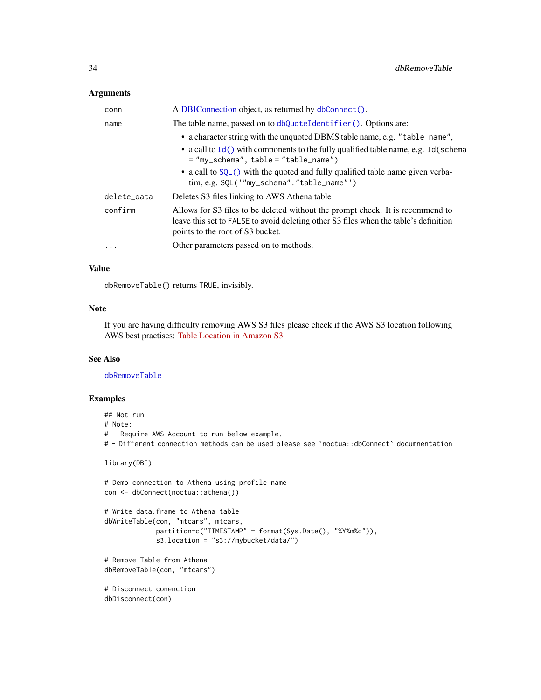## <span id="page-33-0"></span>Arguments

| conn        | A DBIConnection object, as returned by dbConnect().                                                                                                                                                                                                                                           |
|-------------|-----------------------------------------------------------------------------------------------------------------------------------------------------------------------------------------------------------------------------------------------------------------------------------------------|
| name        | The table name, passed on to dbQuoteIdentifier(). Options are:                                                                                                                                                                                                                                |
|             | • a character string with the unquoted DBMS table name, e.g. "table_name",<br>• a call to $Id()$ with components to the fully qualified table name, e.g. Id(schema<br>$=$ "my_schema", table = "table_name")<br>• a call to SQL() with the quoted and fully qualified table name given verba- |
|             | $\lim, e.g.$ SQL('"my_schema"." $table_name$ "')                                                                                                                                                                                                                                              |
| delete_data | Deletes S3 files linking to AWS Athena table                                                                                                                                                                                                                                                  |
| confirm     | Allows for S3 files to be deleted without the prompt check. It is recommend to<br>leave this set to FALSE to avoid deleting other S3 files when the table's definition<br>points to the root of S3 bucket.                                                                                    |
| $\cdots$    | Other parameters passed on to methods.                                                                                                                                                                                                                                                        |

## Value

dbRemoveTable() returns TRUE, invisibly.

## Note

If you are having difficulty removing AWS S3 files please check if the AWS S3 location following AWS best practises: [Table Location in Amazon S3](https://docs.aws.amazon.com/athena/latest/ug/tables-location-format.html)

## See Also

[dbRemoveTable](#page-32-1)

```
## Not run:
# Note:
# - Require AWS Account to run below example.
# - Different connection methods can be used please see `noctua::dbConnect` documnentation
library(DBI)
# Demo connection to Athena using profile name
con <- dbConnect(noctua::athena())
# Write data.frame to Athena table
dbWriteTable(con, "mtcars", mtcars,
             partition=c("TIMESTAMP" = format(Sys.Date(), "%Y%m%d")),
             s3.location = "s3://mybucket/data/")
# Remove Table from Athena
dbRemoveTable(con, "mtcars")
# Disconnect conenction
dbDisconnect(con)
```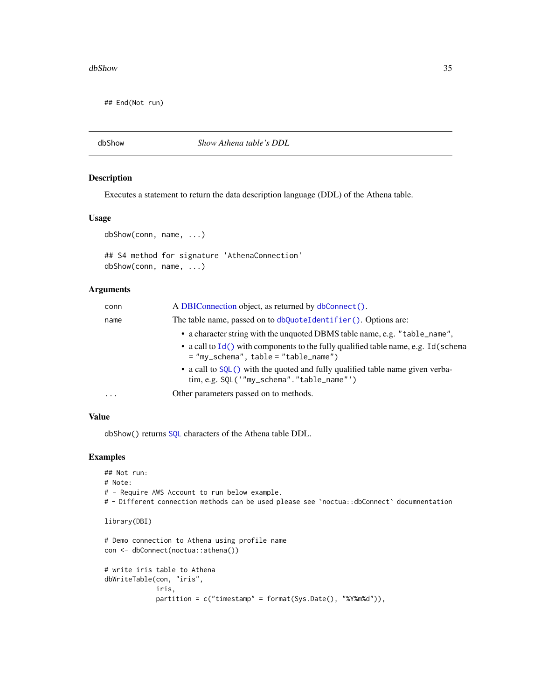#### <span id="page-34-0"></span>dbShow 35

## End(Not run)

dbShow *Show Athena table's DDL*

## Description

Executes a statement to return the data description language (DDL) of the Athena table.

## Usage

```
dbShow(conn, name, ...)
## S4 method for signature 'AthenaConnection'
dbShow(conn, name, ...)
```
#### Arguments

| conn      | A DBIConnection object, as returned by dbConnect().                                                                            |
|-----------|--------------------------------------------------------------------------------------------------------------------------------|
| name      | The table name, passed on to dbQuoteIdentifier(). Options are:                                                                 |
|           | • a character string with the unquoted DBMS table name, e.g. "table_name",                                                     |
|           | • a call to $Id()$ with components to the fully qualified table name, e.g. Id(schema<br>$=$ "my_schema", table = "table_name") |
|           | • a call to SQL() with the quoted and fully qualified table name given verba-<br>tim, e.g. SQL('"my_schema"."table_name"')     |
| $\ddotsc$ | Other parameters passed on to methods.                                                                                         |
|           |                                                                                                                                |

## Value

dbShow() returns [SQL](#page-0-0) characters of the Athena table DDL.

```
## Not run:
# Note:
# - Require AWS Account to run below example.
# - Different connection methods can be used please see `noctua::dbConnect` documnentation
library(DBI)
# Demo connection to Athena using profile name
con <- dbConnect(noctua::athena())
```

```
# write iris table to Athena
dbWriteTable(con, "iris",
            iris,
            partition = c("timestamp" = format(Sys.Date(), "%Y%m%d")),
```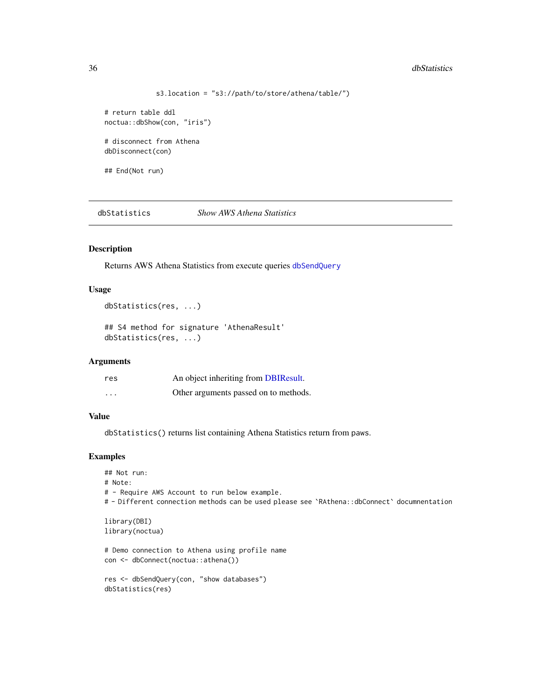#### <span id="page-35-0"></span>36 dbStatistics and the contract of the contract of the contract of the contract of the contract of the contract of the contract of the contract of the contract of the contract of the contract of the contract of the contra

```
s3.location = "s3://path/to/store/athena/table/")
```
# return table ddl noctua::dbShow(con, "iris")

# disconnect from Athena dbDisconnect(con)

## End(Not run)

dbStatistics *Show AWS Athena Statistics*

## Description

Returns AWS Athena Statistics from execute queries [dbSendQuery](#page-0-0)

#### Usage

```
dbStatistics(res, ...)
```
## S4 method for signature 'AthenaResult' dbStatistics(res, ...)

#### Arguments

| res                     | An object inheriting from DBIResult.  |
|-------------------------|---------------------------------------|
| $\cdot$ $\cdot$ $\cdot$ | Other arguments passed on to methods. |

## Value

dbStatistics() returns list containing Athena Statistics return from paws.

```
## Not run:
# Note:
# - Require AWS Account to run below example.
# - Different connection methods can be used please see `RAthena::dbConnect` documnentation
library(DBI)
library(noctua)
# Demo connection to Athena using profile name
```

```
con <- dbConnect(noctua::athena())
```

```
res <- dbSendQuery(con, "show databases")
dbStatistics(res)
```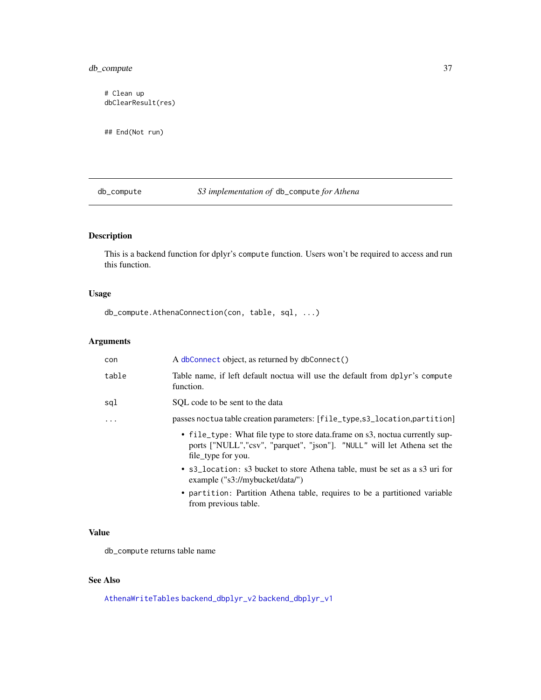## <span id="page-36-0"></span>db\_compute 37

# Clean up dbClearResult(res)

## End(Not run)

db\_compute *S3 implementation of* db\_compute *for Athena*

## Description

This is a backend function for dplyr's compute function. Users won't be required to access and run this function.

## Usage

db\_compute.AthenaConnection(con, table, sql, ...)

## Arguments

| con        | A dbConnect object, as returned by dbConnect()                                                                                                                                |
|------------|-------------------------------------------------------------------------------------------------------------------------------------------------------------------------------|
| table      | Table name, if left default noctua will use the default from dplyr's compute<br>function.                                                                                     |
| sql        | SOL code to be sent to the data                                                                                                                                               |
| $\ddots$ . | passes noctua table creation parameters: [file_type,s3_location,partition]                                                                                                    |
|            | • file_type: What file type to store data.frame on s3, noctua currently sup-<br>ports ["NULL","csv", "parquet", "json"]. "NULL" will let Athena set the<br>file type for you. |
|            | • s3_location: s3 bucket to store Athena table, must be set as a s3 uri for<br>example $("s3://mybucket/data/")$                                                              |
|            | • partition: Partition Athena table, requires to be a partitioned variable<br>from previous table.                                                                            |

## Value

db\_compute returns table name

## See Also

[AthenaWriteTables](#page-4-1) [backend\\_dbplyr\\_v2](#page-8-1) [backend\\_dbplyr\\_v1](#page-8-2)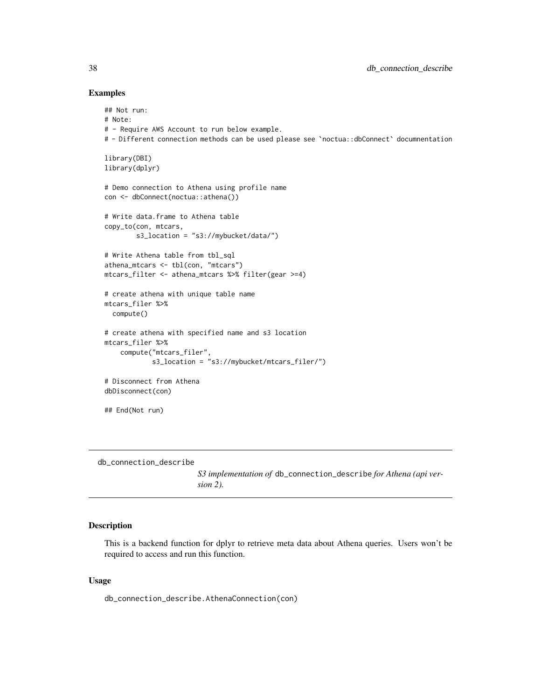#### Examples

```
## Not run:
# Note:
# - Require AWS Account to run below example.
# - Different connection methods can be used please see `noctua::dbConnect` documnentation
library(DBI)
library(dplyr)
# Demo connection to Athena using profile name
con <- dbConnect(noctua::athena())
# Write data.frame to Athena table
copy_to(con, mtcars,
        s3_location = "s3://mybucket/data/")
# Write Athena table from tbl_sql
athena_mtcars <- tbl(con, "mtcars")
mtcars_filter <- athena_mtcars %>% filter(gear >=4)
# create athena with unique table name
mtcars_filer %>%
  compute()
# create athena with specified name and s3 location
mtcars_filer %>%
    compute("mtcars_filer",
            s3_location = "s3://mybucket/mtcars_filer/")
# Disconnect from Athena
dbDisconnect(con)
## End(Not run)
```
db\_connection\_describe

*S3 implementation of* db\_connection\_describe *for Athena (api version 2).*

## Description

This is a backend function for dplyr to retrieve meta data about Athena queries. Users won't be required to access and run this function.

#### Usage

db\_connection\_describe.AthenaConnection(con)

<span id="page-37-0"></span>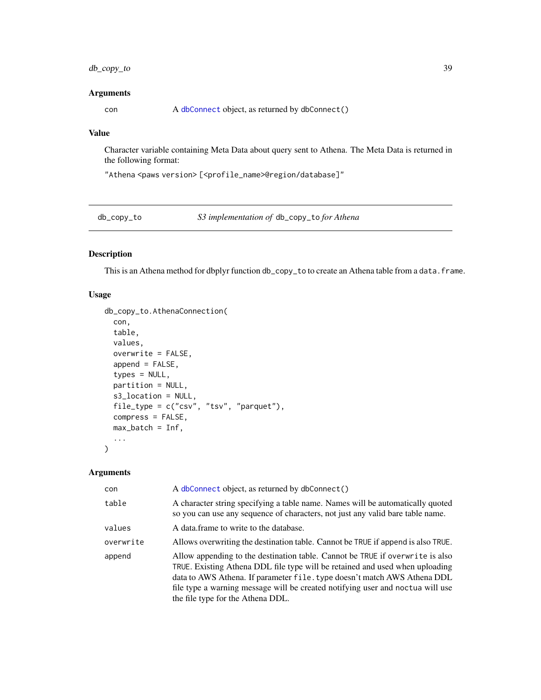## <span id="page-38-0"></span>db\_copy\_to 39

#### Arguments

con A [dbConnect](#page-11-1) object, as returned by dbConnect()

## Value

Character variable containing Meta Data about query sent to Athena. The Meta Data is returned in the following format:

"Athena <paws version> [<profile\_name>@region/database]"

db\_copy\_to *S3 implementation of* db\_copy\_to *for Athena*

## Description

This is an Athena method for dbplyr function db\_copy\_to to create an Athena table from a data.frame.

#### Usage

```
db_copy_to.AthenaConnection(
 con,
  table,
 values,
 overwrite = FALSE,
  append = FALSE,
  types = NULL,
 partition = NULL,
 s3_location = NULL,
 file_type = c("csv", "tsv", "parquet"),
 compress = FALSE,
 max_b = \inf,
  ...
\mathcal{L}
```
#### Arguments

| con       | A dbConnect object, as returned by dbConnect()                                                                                                                                                                                                                                                                                                                   |
|-----------|------------------------------------------------------------------------------------------------------------------------------------------------------------------------------------------------------------------------------------------------------------------------------------------------------------------------------------------------------------------|
| table     | A character string specifying a table name. Names will be automatically quoted<br>so you can use any sequence of characters, not just any valid bare table name.                                                                                                                                                                                                 |
| values    | A data frame to write to the database.                                                                                                                                                                                                                                                                                                                           |
| overwrite | Allows overwriting the destination table. Cannot be TRUE if append is also TRUE.                                                                                                                                                                                                                                                                                 |
| append    | Allow appending to the destination table. Cannot be TRUE if overwrite is also<br>TRUE. Existing Athena DDL file type will be retained and used when uploading<br>data to AWS Athena. If parameter file. type doesn't match AWS Athena DDL<br>file type a warning message will be created notifying user and noctua will use<br>the file type for the Athena DDL. |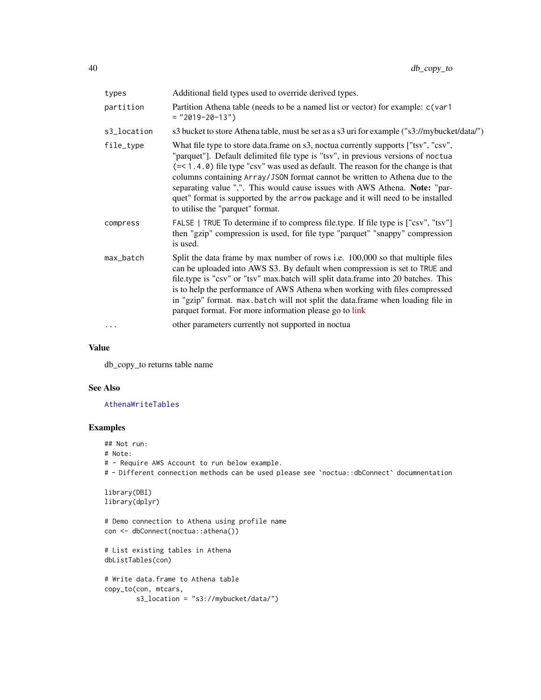<span id="page-39-0"></span>

| types       | Additional field types used to override derived types.                                                                                                                                                                                                                                                                                                                                                                                                                                                                                                          |
|-------------|-----------------------------------------------------------------------------------------------------------------------------------------------------------------------------------------------------------------------------------------------------------------------------------------------------------------------------------------------------------------------------------------------------------------------------------------------------------------------------------------------------------------------------------------------------------------|
| partition   | Partition Athena table (needs to be a named list or vector) for example: c(var1<br>$=$ "2019-20-13")                                                                                                                                                                                                                                                                                                                                                                                                                                                            |
| s3_location | s3 bucket to store Athena table, must be set as a s3 uri for example ("s3://mybucket/data/")                                                                                                                                                                                                                                                                                                                                                                                                                                                                    |
| file_type   | What file type to store data.frame on s3, noctua currently supports ["tsv", "csv",<br>"parquet"]. Default delimited file type is "tsv", in previous versions of noctua<br>$(=\langle 1.4.0 \rangle)$ file type "csv" was used as default. The reason for the change is that<br>columns containing Array/JSON format cannot be written to Athena due to the<br>separating value ",". This would cause issues with AWS Athena. Note: "par-<br>quet" format is supported by the arrow package and it will need to be installed<br>to utilise the "parquet" format. |
| compress    | FALSE   TRUE To determine if to compress file.type. If file type is ["csv", "tsv"]<br>then "gzip" compression is used, for file type "parquet" "snappy" compression<br>is used.                                                                                                                                                                                                                                                                                                                                                                                 |
| max_batch   | Split the data frame by max number of rows <i>i.e.</i> 100,000 so that multiple files<br>can be uploaded into AWS S3. By default when compression is set to TRUE and<br>file.type is "csv" or "tsv" max.batch will split data.frame into 20 batches. This<br>is to help the performance of AWS Athena when working with files compressed<br>in "gzip" format. max.batch will not split the data.frame when loading file in<br>parquet format. For more information please go to link                                                                            |
| $\cdots$    | other parameters currently not supported in noctual                                                                                                                                                                                                                                                                                                                                                                                                                                                                                                             |

#### Value

db\_copy\_to returns table name

## See Also

[AthenaWriteTables](#page-4-1)

## Examples

## Not run: # Note: # - Require AWS Account to run below example. # - Different connection methods can be used please see `noctua::dbConnect` documnentation

```
library(DBI)
library(dplyr)
```
# Demo connection to Athena using profile name con <- dbConnect(noctua::athena())

```
# List existing tables in Athena
dbListTables(con)
```

```
# Write data.frame to Athena table
copy_to(con, mtcars,
       s3_location = "s3://mybucket/data/")
```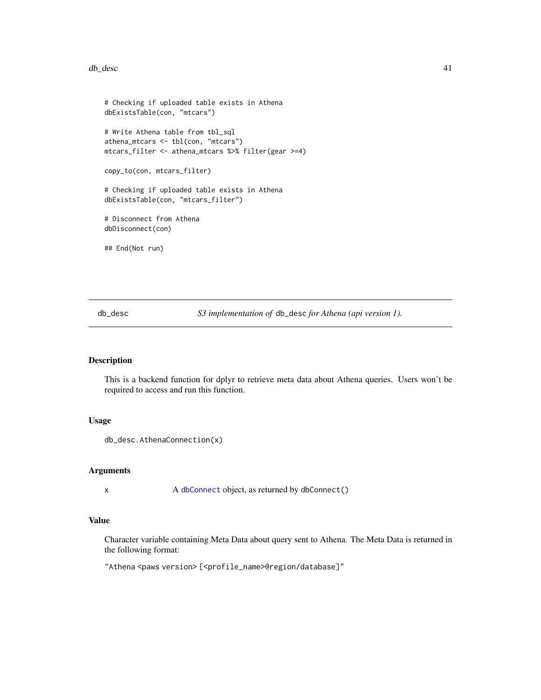#### <span id="page-40-0"></span>db\_desc 41

```
# Checking if uploaded table exists in Athena
dbExistsTable(con, "mtcars")
# Write Athena table from tbl_sql
athena_mtcars <- tbl(con, "mtcars")
mtcars_filter <- athena_mtcars %>% filter(gear >=4)
copy_to(con, mtcars_filter)
# Checking if uploaded table exists in Athena
dbExistsTable(con, "mtcars_filter")
# Disconnect from Athena
dbDisconnect(con)
## End(Not run)
```
db\_desc *S3 implementation of* db\_desc *for Athena (api version 1).*

## Description

This is a backend function for dplyr to retrieve meta data about Athena queries. Users won't be required to access and run this function.

## Usage

```
db_desc.AthenaConnection(x)
```
#### Arguments

x A [dbConnect](#page-11-1) object, as returned by dbConnect()

## Value

Character variable containing Meta Data about query sent to Athena. The Meta Data is returned in the following format:

"Athena <paws version> [<profile\_name>@region/database]"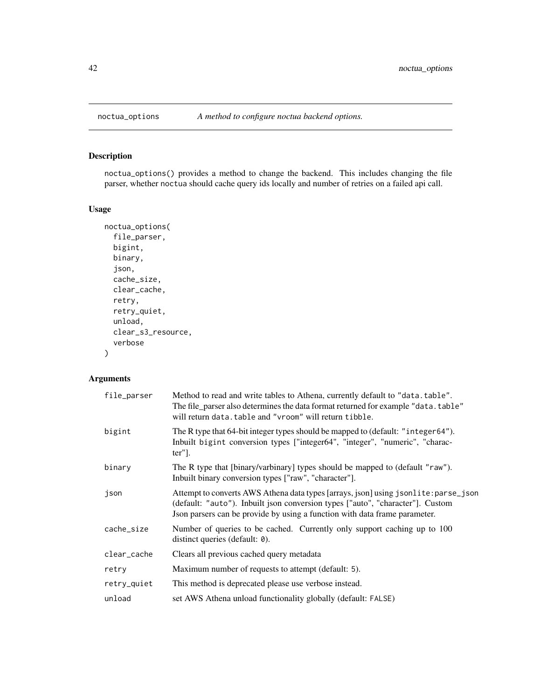## Description

noctua\_options() provides a method to change the backend. This includes changing the file parser, whether noctua should cache query ids locally and number of retries on a failed api call.

## Usage

```
noctua_options(
  file_parser,
 bigint,
 binary,
  json,
  cache_size,
 clear_cache,
 retry,
  retry_quiet,
  unload,
  clear_s3_resource,
  verbose
)
```
## Arguments

| file_parser | Method to read and write tables to Athena, currently default to "data.table".<br>The file_parser also determines the data format returned for example "data.table"<br>will return data. table and "vroom" will return tibble.                       |
|-------------|-----------------------------------------------------------------------------------------------------------------------------------------------------------------------------------------------------------------------------------------------------|
| bigint      | The R type that 64-bit integer types should be mapped to (default: "integer64").<br>Inbuilt bigint conversion types ["integer64", "integer", "numeric", "charac-<br>$ter$ "].                                                                       |
| binary      | The R type that [binary/varbinary] types should be mapped to (default "raw").<br>Inbuilt binary conversion types ["raw", "character"].                                                                                                              |
| json        | Attempt to converts AWS Athena data types [arrays, json] using jsonlite: parse_json<br>(default: "auto"). Inbuilt json conversion types ["auto", "character"]. Custom<br>Json parsers can be provide by using a function with data frame parameter. |
| cache_size  | Number of queries to be cached. Currently only support caching up to 100<br>distinct queries (default: 0).                                                                                                                                          |
| clear_cache | Clears all previous cached query metadata                                                                                                                                                                                                           |
| retry       | Maximum number of requests to attempt (default: 5).                                                                                                                                                                                                 |
| retry_quiet | This method is deprecated please use verbose instead.                                                                                                                                                                                               |
| unload      | set AWS Athena unload functionality globally (default: FALSE)                                                                                                                                                                                       |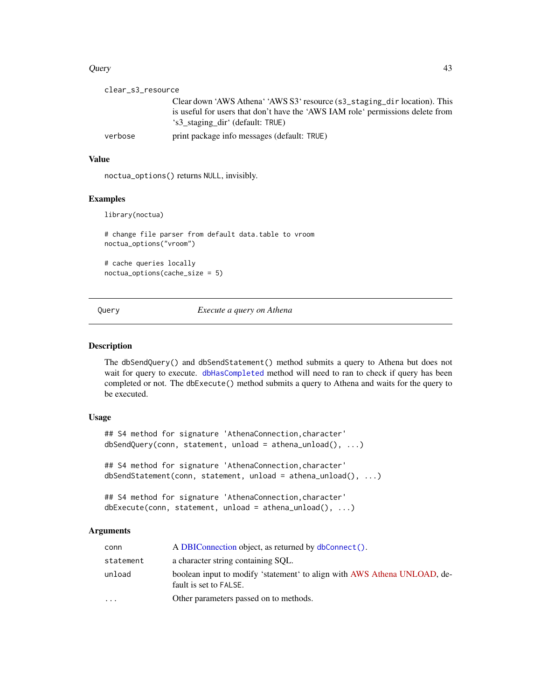#### <span id="page-42-0"></span>Query 23

| clear_s3_resource |                                                                                |
|-------------------|--------------------------------------------------------------------------------|
|                   | Clear down 'AWS Athena' 'AWS S3' resource (s3_staging_dir location). This      |
|                   | is useful for users that don't have the 'AWS IAM role' permissions delete from |
|                   | 's3_staging_dir' (default: TRUE)                                               |
| verbose           | print package info messages (default: TRUE)                                    |
|                   |                                                                                |

## Value

noctua\_options() returns NULL, invisibly.

## Examples

library(noctua)

# change file parser from default data.table to vroom noctua\_options("vroom")

# cache queries locally noctua\_options(cache\_size = 5)

Query *Execute a query on Athena*

## Description

The dbSendQuery() and dbSendStatement() method submits a query to Athena but does not wait for query to execute. [dbHasCompleted](#page-27-1) method will need to ran to check if query has been completed or not. The dbExecute() method submits a query to Athena and waits for the query to be executed.

## Usage

```
## S4 method for signature 'AthenaConnection, character'
dbSendQuery(conn, statement, unload = athena_unload(), ...)
```
## S4 method for signature 'AthenaConnection, character' dbSendStatement(conn, statement, unload = athena\_unload(), ...)

```
## S4 method for signature 'AthenaConnection, character'
dbExecute(conn, statement, unload = athena_unload(), ...)
```
## Arguments

| conn      | A DBIConnection object, as returned by dbConnect().                                                |
|-----------|----------------------------------------------------------------------------------------------------|
| statement | a character string containing SQL.                                                                 |
| unload    | boolean input to modify 'statement' to align with AWS Athena UNLOAD, de-<br>fault is set to FALSE. |
| $\cdots$  | Other parameters passed on to methods.                                                             |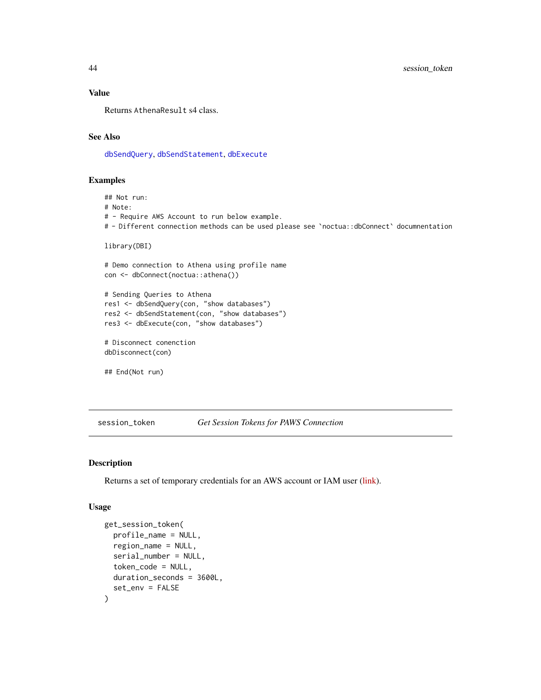## Value

Returns AthenaResult s4 class.

## See Also

[dbSendQuery](#page-0-0), [dbSendStatement](#page-0-0), [dbExecute](#page-0-0)

## Examples

## Not run: # Note: # - Require AWS Account to run below example. # - Different connection methods can be used please see `noctua::dbConnect` documnentation library(DBI) # Demo connection to Athena using profile name con <- dbConnect(noctua::athena()) # Sending Queries to Athena res1 <- dbSendQuery(con, "show databases") res2 <- dbSendStatement(con, "show databases") res3 <- dbExecute(con, "show databases") # Disconnect conenction dbDisconnect(con) ## End(Not run)

session\_token *Get Session Tokens for PAWS Connection*

#### Description

Returns a set of temporary credentials for an AWS account or IAM user [\(link\)](https://paws-r.github.io/docs/sts/get_session_token.html).

## Usage

```
get_session_token(
  profile_name = NULL,
  region_name = NULL,
  serial_number = NULL,
  token_code = NULL,
  duration_seconds = 3600L,
  set_env = FALSE
)
```
<span id="page-43-0"></span>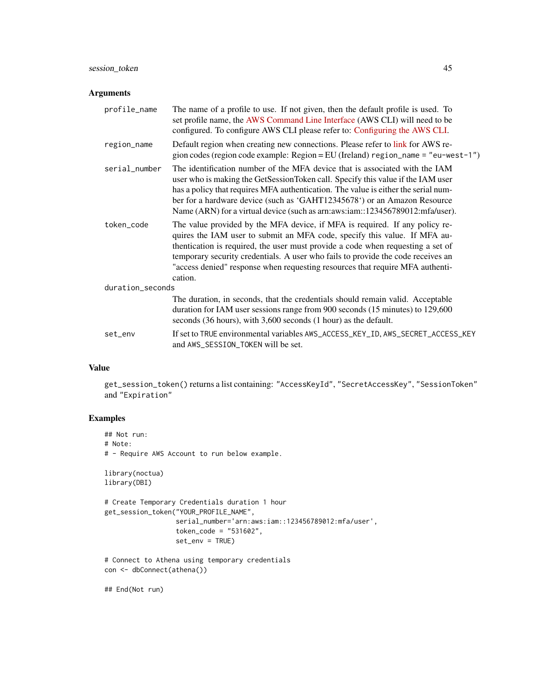## session\_token 45

#### Arguments

| profile_name     | The name of a profile to use. If not given, then the default profile is used. To<br>set profile name, the AWS Command Line Interface (AWS CLI) will need to be<br>configured. To configure AWS CLI please refer to: Configuring the AWS CLI.                                                                                                                                                                                |
|------------------|-----------------------------------------------------------------------------------------------------------------------------------------------------------------------------------------------------------------------------------------------------------------------------------------------------------------------------------------------------------------------------------------------------------------------------|
| region_name      | Default region when creating new connections. Please refer to link for AWS re-<br>gion codes (region code example: Region = EU (Ireland) region_name = "eu-west-1")                                                                                                                                                                                                                                                         |
| serial_number    | The identification number of the MFA device that is associated with the IAM<br>user who is making the GetSessionToken call. Specify this value if the IAM user<br>has a policy that requires MFA authentication. The value is either the serial num-<br>ber for a hardware device (such as 'GAHT12345678') or an Amazon Resource<br>Name (ARN) for a virtual device (such as arm: aws: iam:: 123456789012: mfa/user).       |
| token_code       | The value provided by the MFA device, if MFA is required. If any policy re-<br>quires the IAM user to submit an MFA code, specify this value. If MFA au-<br>thentication is required, the user must provide a code when requesting a set of<br>temporary security credentials. A user who fails to provide the code receives an<br>"access denied" response when requesting resources that require MFA authenti-<br>cation. |
| duration_seconds |                                                                                                                                                                                                                                                                                                                                                                                                                             |
|                  | The duration, in seconds, that the credentials should remain valid. Acceptable<br>duration for IAM user sessions range from 900 seconds (15 minutes) to 129,600<br>seconds (36 hours), with 3,600 seconds (1 hour) as the default.                                                                                                                                                                                          |
| set_env          | If set to TRUE environmental variables AWS_ACCESS_KEY_ID, AWS_SECRET_ACCESS_KEY<br>and AWS_SESSION_TOKEN will be set.                                                                                                                                                                                                                                                                                                       |

## Value

get\_session\_token() returns a list containing: "AccessKeyId", "SecretAccessKey", "SessionToken" and "Expiration"

## Examples

```
## Not run:
# Note:
# - Require AWS Account to run below example.
library(noctua)
library(DBI)
# Create Temporary Credentials duration 1 hour
get_session_token("YOUR_PROFILE_NAME",
                 serial_number='arn:aws:iam::123456789012:mfa/user',
                 token_code = "531602",
                  set_env = TRUE)
# Connect to Athena using temporary credentials
```

```
con <- dbConnect(athena())
```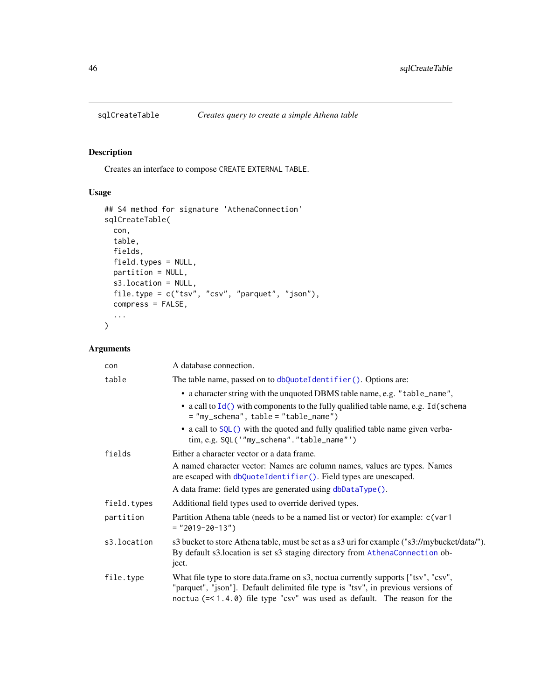<span id="page-45-1"></span><span id="page-45-0"></span>

## Description

Creates an interface to compose CREATE EXTERNAL TABLE.

## Usage

```
## S4 method for signature 'AthenaConnection'
sqlCreateTable(
 con,
 table,
 fields,
 field.types = NULL,
 partition = NULL,
 s3.location = NULL,
 file.type = c("tsv", "csv", "parquet", "json"),
 compress = FALSE,
  ...
)
```
## Arguments

| con         | A database connection.                                                                                                                                                                                                                                  |
|-------------|---------------------------------------------------------------------------------------------------------------------------------------------------------------------------------------------------------------------------------------------------------|
| table       | The table name, passed on to dbQuoteIdentifier(). Options are:                                                                                                                                                                                          |
|             | • a character string with the unquoted DBMS table name, e.g. "table_name",                                                                                                                                                                              |
|             | • a call to $Id()$ with components to the fully qualified table name, e.g. $Id$ (schema<br>$=$ "my_schema", table = "table_name")                                                                                                                       |
|             | • a call to SQL() with the quoted and fully qualified table name given verba-<br>tim, e.g. SQL('"my_schema"."table_name"')                                                                                                                              |
| fields      | Either a character vector or a data frame.                                                                                                                                                                                                              |
|             | A named character vector: Names are column names, values are types. Names<br>are escaped with dbQuoteIdentifier(). Field types are unescaped.                                                                                                           |
|             | A data frame: field types are generated using dbDataType().                                                                                                                                                                                             |
| field.types | Additional field types used to override derived types.                                                                                                                                                                                                  |
| partition   | Partition Athena table (needs to be a named list or vector) for example: c(var1<br>$=$ "2019-20-13")                                                                                                                                                    |
| s3.location | s3 bucket to store Athena table, must be set as a s3 uri for example ("s3://mybucket/data/").<br>By default s3.1 ocation is set s3 staging directory from AthenaConnection ob-<br>ject.                                                                 |
| file.type   | What file type to store data.frame on s3, noctua currently supports ["tsv", "csv",<br>"parquet", "json"]. Default delimited file type is "tsv", in previous versions of<br>noctua $(= < 1.4.0)$ file type "csv" was used as default. The reason for the |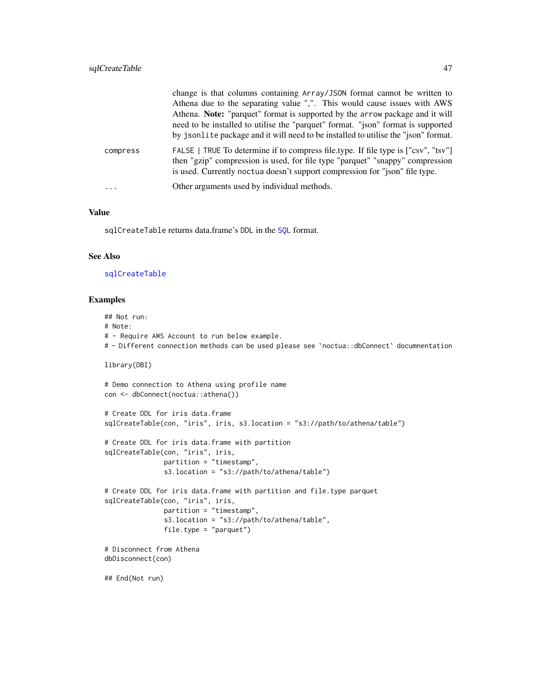<span id="page-46-0"></span>

|          | change is that columns containing Array/JSON format cannot be written to<br>Athena due to the separating value ",". This would cause issues with AWS<br>Athena. Note: "parquet" format is supported by the arrow package and it will<br>need to be installed to utilise the "parquet" format. "ison" format is supported<br>by jsonlite package and it will need to be installed to utilise the "json" format. |
|----------|----------------------------------------------------------------------------------------------------------------------------------------------------------------------------------------------------------------------------------------------------------------------------------------------------------------------------------------------------------------------------------------------------------------|
| compress | FALSE   TRUE To determine if to compress file.type. If file type is ["csv", "tsv"]<br>then "gzip" compression is used, for file type "parquet" "snappy" compression<br>is used. Currently noctua doesn't support compression for "json" file type.                                                                                                                                                             |
| $\cdot$  | Other arguments used by individual methods.                                                                                                                                                                                                                                                                                                                                                                    |

#### Value

sqlCreateTable returns data.frame's DDL in the [SQL](#page-0-0) format.

#### See Also

## [sqlCreateTable](#page-45-1)

#### Examples

## Not run:

# Note:

```
# - Require AWS Account to run below example.
```
# - Different connection methods can be used please see `noctua::dbConnect` documnentation

library(DBI)

# Demo connection to Athena using profile name con <- dbConnect(noctua::athena())

```
# Create DDL for iris data.frame
sqlCreateTable(con, "iris", iris, s3.location = "s3://path/to/athena/table")
# Create DDL for iris data.frame with partition
sqlCreateTable(con, "iris", iris,
               partition = "timestamp",
               s3.location = "s3://path/to/athena/table")
# Create DDL for iris data.frame with partition and file.type parquet
sqlCreateTable(con, "iris", iris,
              partition = "timestamp",
               s3.location = "s3://path/to/athena/table",
              file.type = "parquet")
```

```
# Disconnect from Athena
dbDisconnect(con)
```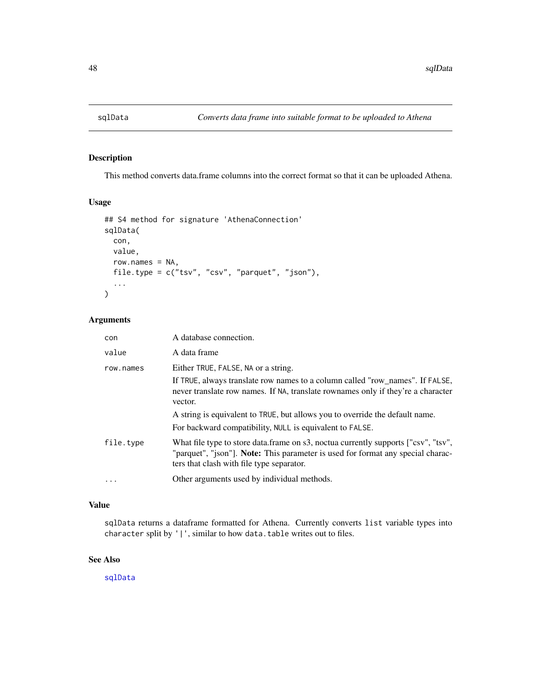<span id="page-47-1"></span><span id="page-47-0"></span>

## Description

This method converts data.frame columns into the correct format so that it can be uploaded Athena.

## Usage

```
## S4 method for signature 'AthenaConnection'
sqlData(
 con,
 value,
 row.names = NA,
 file.type = c("tsv", "csv", "parquet", "json"),
  ...
\mathcal{L}
```
## Arguments

| con               | A database connection.                                                                                                                                                                                                                                                                                                                                          |
|-------------------|-----------------------------------------------------------------------------------------------------------------------------------------------------------------------------------------------------------------------------------------------------------------------------------------------------------------------------------------------------------------|
| value             | A data frame                                                                                                                                                                                                                                                                                                                                                    |
| row.names         | Either TRUE, FALSE, NA or a string.<br>If TRUE, always translate row names to a column called "row_names". If FALSE,<br>never translate row names. If NA, translate rownames only if they're a character<br>vector.<br>A string is equivalent to TRUE, but allows you to override the default name.<br>For backward compatibility, NULL is equivalent to FALSE. |
| file.type         | What file type to store data.frame on s3, noctua currently supports ["csv", "tsv",<br>"parquet", "ison"]. Note: This parameter is used for format any special charac-<br>ters that clash with file type separator.                                                                                                                                              |
| $\cdot\cdot\cdot$ | Other arguments used by individual methods.                                                                                                                                                                                                                                                                                                                     |

## Value

sqlData returns a dataframe formatted for Athena. Currently converts list variable types into character split by '|', similar to how data.table writes out to files.

## See Also

[sqlData](#page-47-1)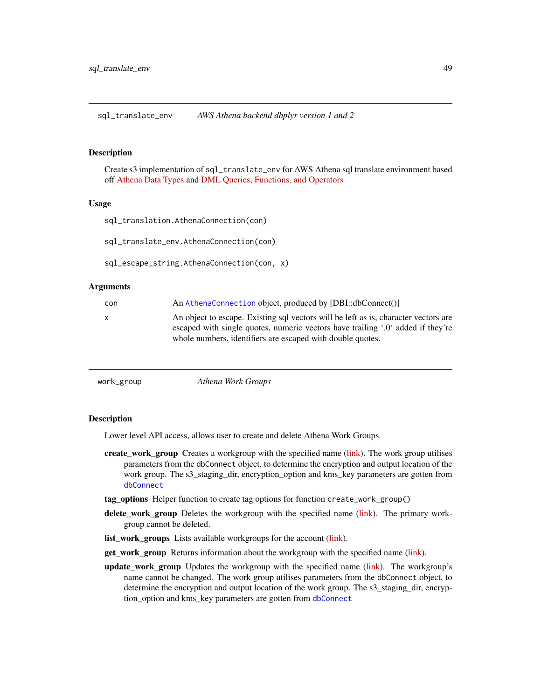<span id="page-48-0"></span>sql\_translate\_env *AWS Athena backend dbplyr version 1 and 2*

#### Description

Create s3 implementation of sql\_translate\_env for AWS Athena sql translate environment based off [Athena Data Types](https://docs.aws.amazon.com/athena/latest/ug/data-types.html) and [DML Queries, Functions, and Operators](https://docs.aws.amazon.com/athena/latest/ug/functions-operators-reference-section.html)

#### Usage

```
sql_translation.AthenaConnection(con)
```
sql\_translate\_env.AthenaConnection(con)

sql\_escape\_string.AthenaConnection(con, x)

#### Arguments

| con | An AthenaConnection object, produced by [DBI::dbConnect()]                                                                                                                                                                           |
|-----|--------------------------------------------------------------------------------------------------------------------------------------------------------------------------------------------------------------------------------------|
| x   | An object to escape. Existing sql vectors will be left as is, character vectors are<br>escaped with single quotes, numeric vectors have trailing '.0' added if they're<br>whole numbers, identifiers are escaped with double quotes. |
|     |                                                                                                                                                                                                                                      |

```
work_group Athena Work Groups
```
## **Description**

Lower level API access, allows user to create and delete Athena Work Groups.

- create\_work\_group Creates a workgroup with the specified name [\(link\)](https://paws-r.github.io/docs/athena/create_work_group.html). The work group utilises parameters from the dbConnect object, to determine the encryption and output location of the work group. The s3\_staging\_dir, encryption\_option and kms\_key parameters are gotten from [dbConnect](#page-11-1)
- tag\_options Helper function to create tag options for function create\_work\_group()
- delete\_work\_group Deletes the workgroup with the specified name [\(link\)](https://paws-r.github.io/docs/athena/delete_work_group.html). The primary workgroup cannot be deleted.
- list\_work\_groups Lists available workgroups for the account [\(link\)](https://paws-r.github.io/docs/athena/list_work_groups.html).
- get\_work\_group Returns information about the workgroup with the specified name [\(link\)](https://paws-r.github.io/docs/athena/get_work_group.html).
- update work group Updates the workgroup with the specified name [\(link\)](https://paws-r.github.io/docs/athena/update_work_group.html). The workgroup's name cannot be changed. The work group utilises parameters from the dbConnect object, to determine the encryption and output location of the work group. The s3\_staging\_dir, encryption\_option and kms\_key parameters are gotten from [dbConnect](#page-11-1)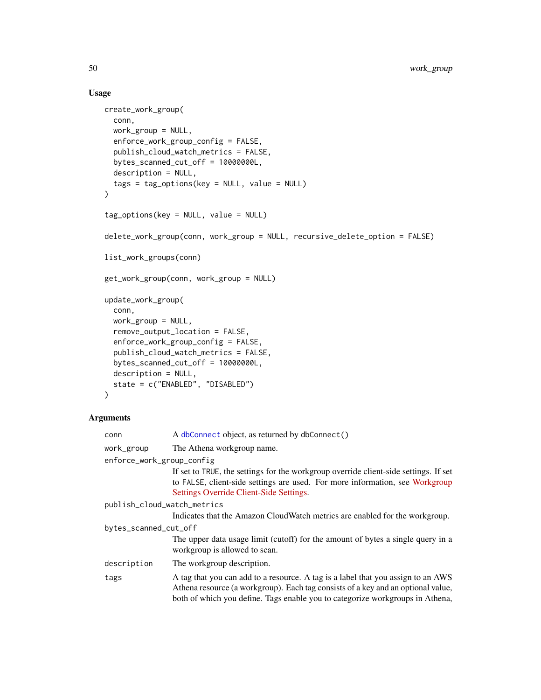## Usage

```
create_work_group(
 conn,
  work_group = NULL,
  enforce_work_group_config = FALSE,
 publish_cloud_watch_metrics = FALSE,
 bytes_scanned_cut_off = 10000000L,
  description = NULL,
  tags = tag_options(key = NULL, value = NULL)
\lambdatag_options(key = NULL, value = NULL)
delete_work_group(conn, work_group = NULL, recursive_delete_option = FALSE)
list_work_groups(conn)
get_work_group(conn, work_group = NULL)
update_work_group(
  conn,
 work_group = NULL,
  remove_output_location = FALSE,
  enforce_work_group_config = FALSE,
  publish_cloud_watch_metrics = FALSE,
 bytes_scanned_cut_off = 10000000L,
  description = NULL,
  state = c("ENABLED", "DISABLED")
)
```
## Arguments

| conn                        | A dbConnect object, as returned by dbConnect()                                                                                                                                                                                                        |  |
|-----------------------------|-------------------------------------------------------------------------------------------------------------------------------------------------------------------------------------------------------------------------------------------------------|--|
| work_group                  | The Athena workgroup name.                                                                                                                                                                                                                            |  |
| enforce_work_group_config   |                                                                                                                                                                                                                                                       |  |
|                             | If set to TRUE, the settings for the workgroup override client-side settings. If set<br>to FALSE, client-side settings are used. For more information, see Workgroup<br>Settings Override Client-Side Settings.                                       |  |
| publish_cloud_watch_metrics |                                                                                                                                                                                                                                                       |  |
|                             | Indicates that the Amazon CloudWatch metrics are enabled for the workgroup.                                                                                                                                                                           |  |
| bytes_scanned_cut_off       |                                                                                                                                                                                                                                                       |  |
|                             | The upper data usage limit (cutoff) for the amount of bytes a single query in a<br>workgroup is allowed to scan.                                                                                                                                      |  |
| description                 | The workgroup description.                                                                                                                                                                                                                            |  |
| tags                        | A tag that you can add to a resource. A tag is a label that you assign to an AWS<br>Athena resource (a workgroup). Each tag consists of a key and an optional value,<br>both of which you define. Tags enable you to categorize workgroups in Athena, |  |

<span id="page-49-0"></span>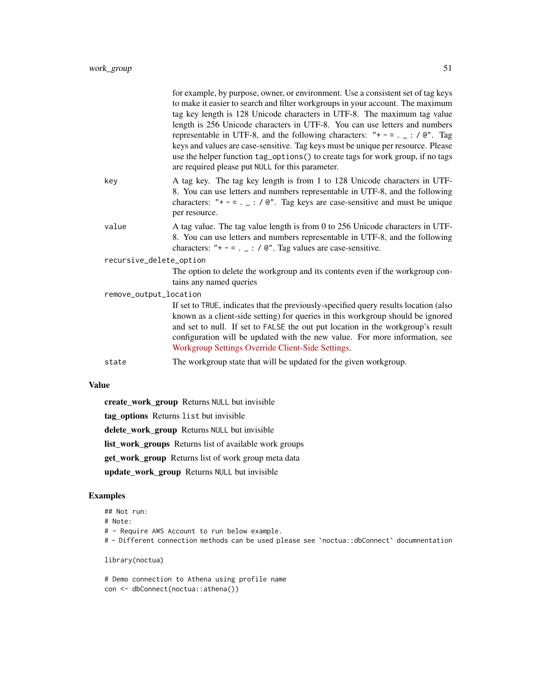|                         | for example, by purpose, owner, or environment. Use a consistent set of tag keys<br>to make it easier to search and filter workgroups in your account. The maximum<br>tag key length is 128 Unicode characters in UTF-8. The maximum tag value<br>length is 256 Unicode characters in UTF-8. You can use letters and numbers<br>representable in UTF-8, and the following characters: "+ - = . $\angle$ : / @". Tag<br>keys and values are case-sensitive. Tag keys must be unique per resource. Please<br>use the helper function tag_options() to create tags for work group, if no tags<br>are required please put NULL for this parameter. |
|-------------------------|------------------------------------------------------------------------------------------------------------------------------------------------------------------------------------------------------------------------------------------------------------------------------------------------------------------------------------------------------------------------------------------------------------------------------------------------------------------------------------------------------------------------------------------------------------------------------------------------------------------------------------------------|
| key                     | A tag key. The tag key length is from 1 to 128 Unicode characters in UTF-<br>8. You can use letters and numbers representable in UTF-8, and the following<br>characters: "+ - = . $\angle$ : / $\mathbb{C}^n$ . Tag keys are case-sensitive and must be unique<br>per resource.                                                                                                                                                                                                                                                                                                                                                                |
| value                   | A tag value. The tag value length is from 0 to 256 Unicode characters in UTF-<br>8. You can use letters and numbers representable in UTF-8, and the following<br>characters: "+ - = . $\angle$ : / @". Tag values are case-sensitive.                                                                                                                                                                                                                                                                                                                                                                                                          |
| recursive_delete_option |                                                                                                                                                                                                                                                                                                                                                                                                                                                                                                                                                                                                                                                |
|                         | The option to delete the workgroup and its contents even if the workgroup con-<br>tains any named queries                                                                                                                                                                                                                                                                                                                                                                                                                                                                                                                                      |
| remove_output_location  |                                                                                                                                                                                                                                                                                                                                                                                                                                                                                                                                                                                                                                                |
|                         | If set to TRUE, indicates that the previously-specified query results location (also<br>known as a client-side setting) for queries in this workgroup should be ignored<br>and set to null. If set to FALSE the out put location in the workgroup's result<br>configuration will be updated with the new value. For more information, see<br>Workgroup Settings Override Client-Side Settings.                                                                                                                                                                                                                                                 |
| state                   | The workgroup state that will be updated for the given workgroup.                                                                                                                                                                                                                                                                                                                                                                                                                                                                                                                                                                              |

#### Value

create\_work\_group Returns NULL but invisible

tag\_options Returns list but invisible

delete\_work\_group Returns NULL but invisible

list\_work\_groups Returns list of available work groups

get\_work\_group Returns list of work group meta data

update\_work\_group Returns NULL but invisible

## Examples

## Not run: # Note: # - Require AWS Account to run below example. # - Different connection methods can be used please see `noctua::dbConnect` documnentation library(noctua)

# Demo connection to Athena using profile name con <- dbConnect(noctua::athena())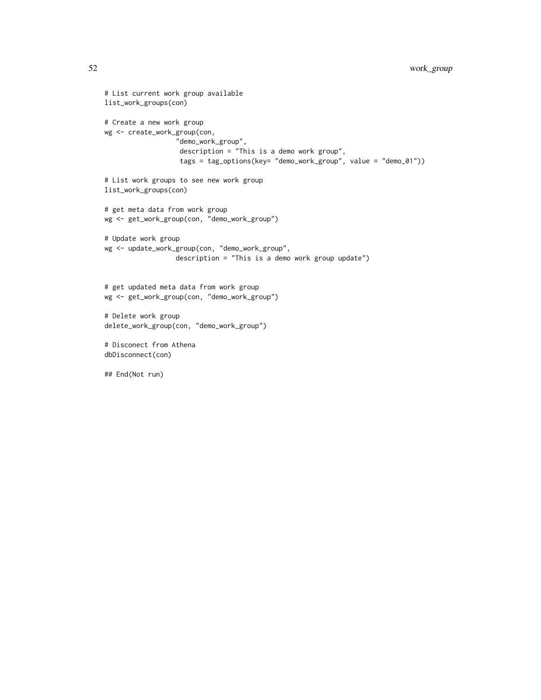```
# List current work group available
list_work_groups(con)
# Create a new work group
wg <- create_work_group(con,
                  "demo_work_group",
                  description = "This is a demo work group",
                  tags = tag_options(key= "demo_work_group", value = "demo_01"))
# List work groups to see new work group
list_work_groups(con)
# get meta data from work group
wg <- get_work_group(con, "demo_work_group")
# Update work group
wg <- update_work_group(con, "demo_work_group",
                  description = "This is a demo work group update")
# get updated meta data from work group
wg <- get_work_group(con, "demo_work_group")
# Delete work group
delete_work_group(con, "demo_work_group")
# Disconect from Athena
dbDisconnect(con)
## End(Not run)
```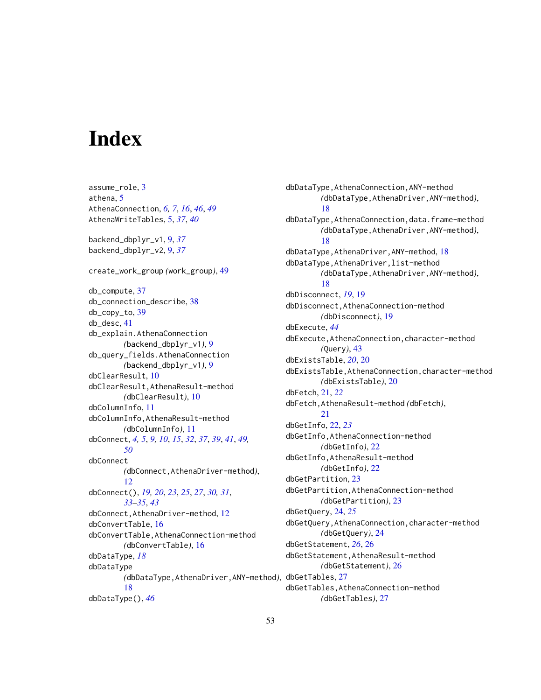# <span id="page-52-0"></span>Index

assume\_role, [3](#page-2-0) athena, [5](#page-4-0) AthenaConnection, *[6,](#page-5-0) [7](#page-6-0)*, *[16](#page-15-0)*, *[46](#page-45-0)*, *[49](#page-48-0)* AthenaWriteTables, [5,](#page-4-0) *[37](#page-36-0)*, *[40](#page-39-0)* backend\_dbplyr\_v1, [9,](#page-8-0) *[37](#page-36-0)* backend\_dbplyr\_v2, [9,](#page-8-0) *[37](#page-36-0)* create\_work\_group *(*work\_group*)*, [49](#page-48-0) db\_compute, [37](#page-36-0) db\_connection\_describe, [38](#page-37-0) db\_copy\_to, [39](#page-38-0) db\_desc, [41](#page-40-0) db\_explain.AthenaConnection *(*backend\_dbplyr\_v1*)*, [9](#page-8-0) db\_query\_fields.AthenaConnection *(*backend\_dbplyr\_v1*)*, [9](#page-8-0) dbClearResult, [10](#page-9-0) dbClearResult,AthenaResult-method *(*dbClearResult*)*, [10](#page-9-0) dbColumnInfo, [11](#page-10-0) dbColumnInfo,AthenaResult-method *(*dbColumnInfo*)*, [11](#page-10-0) dbConnect, *[4,](#page-3-0) [5](#page-4-0)*, *[9,](#page-8-0) [10](#page-9-0)*, *[15](#page-14-0)*, *[32](#page-31-0)*, *[37](#page-36-0)*, *[39](#page-38-0)*, *[41](#page-40-0)*, *[49,](#page-48-0) [50](#page-49-0)* dbConnect *(*dbConnect,AthenaDriver-method*)*, [12](#page-11-0) dbConnect(), *[19,](#page-18-0) [20](#page-19-0)*, *[23](#page-22-0)*, *[25](#page-24-0)*, *[27](#page-26-0)*, *[30,](#page-29-0) [31](#page-30-0)*, *[33](#page-32-0)[–35](#page-34-0)*, *[43](#page-42-0)* dbConnect,AthenaDriver-method, [12](#page-11-0) dbConvertTable, [16](#page-15-0) dbConvertTable,AthenaConnection-method *(*dbConvertTable*)*, [16](#page-15-0) dbDataType, *[18](#page-17-0)* dbDataType *(*dbDataType,AthenaDriver,ANY-method*)*, dbGetTables, [27](#page-26-0) [18](#page-17-0) dbDataType(), *[46](#page-45-0)*

dbDataType,AthenaConnection,ANY-method *(*dbDataType,AthenaDriver,ANY-method*)*, [18](#page-17-0) dbDataType,AthenaConnection,data.frame-method *(*dbDataType,AthenaDriver,ANY-method*)*, [18](#page-17-0) dbDataType,AthenaDriver,ANY-method, [18](#page-17-0) dbDataType,AthenaDriver,list-method *(*dbDataType,AthenaDriver,ANY-method*)*, [18](#page-17-0) dbDisconnect, *[19](#page-18-0)*, [19](#page-18-0) dbDisconnect,AthenaConnection-method *(*dbDisconnect*)*, [19](#page-18-0) dbExecute, *[44](#page-43-0)* dbExecute,AthenaConnection,character-method *(*Query*)*, [43](#page-42-0) dbExistsTable, *[20](#page-19-0)*, [20](#page-19-0) dbExistsTable,AthenaConnection,character-method *(*dbExistsTable*)*, [20](#page-19-0) dbFetch, [21,](#page-20-0) *[22](#page-21-0)* dbFetch,AthenaResult-method *(*dbFetch*)*, [21](#page-20-0) dbGetInfo, [22,](#page-21-0) *[23](#page-22-0)* dbGetInfo,AthenaConnection-method *(*dbGetInfo*)*, [22](#page-21-0) dbGetInfo,AthenaResult-method *(*dbGetInfo*)*, [22](#page-21-0) dbGetPartition, [23](#page-22-0) dbGetPartition,AthenaConnection-method *(*dbGetPartition*)*, [23](#page-22-0) dbGetQuery, [24,](#page-23-0) *[25](#page-24-0)* dbGetQuery,AthenaConnection,character-method *(*dbGetQuery*)*, [24](#page-23-0) dbGetStatement, *[26](#page-25-0)*, [26](#page-25-0) dbGetStatement,AthenaResult-method *(*dbGetStatement*)*, [26](#page-25-0) dbGetTables,AthenaConnection-method *(*dbGetTables*)*, [27](#page-26-0)